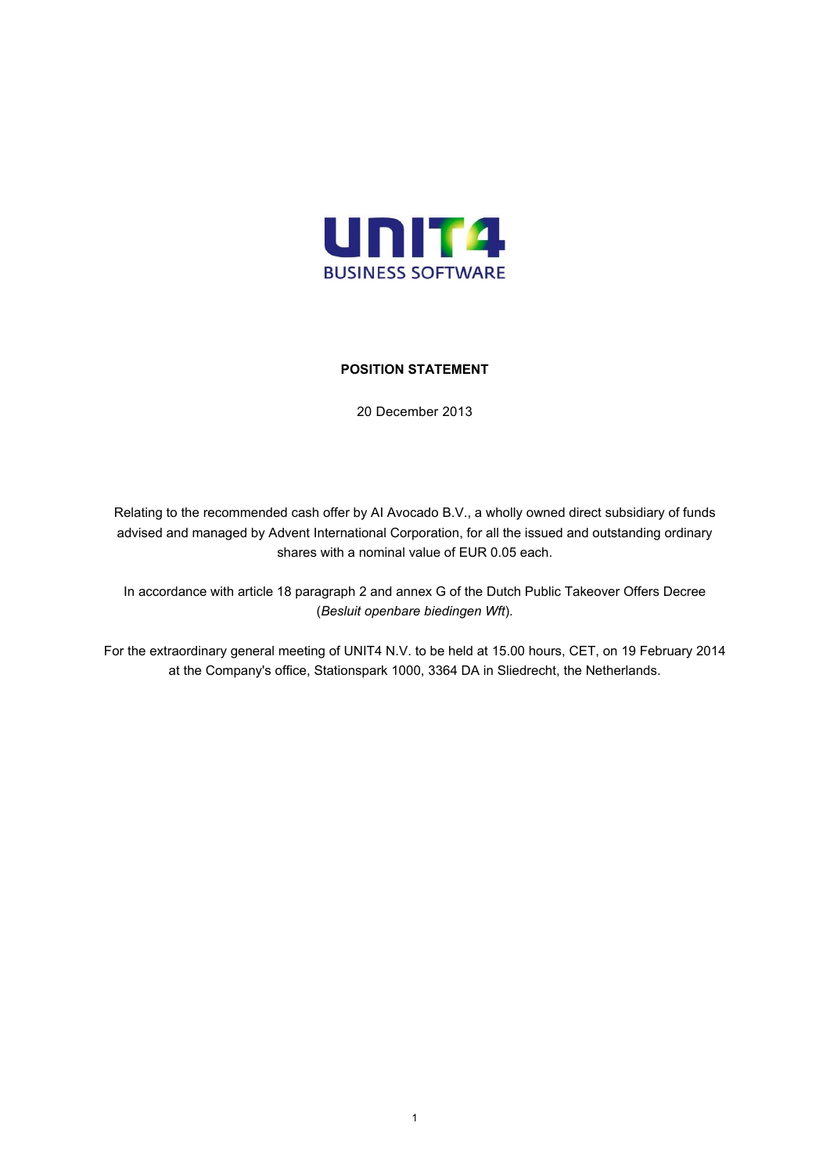

# **POSITION STATEMENT**

20 December 2013

Relating to the recommended cash offer by AI Avocado B.V., a wholly owned direct subsidiary of funds advised and managed by Advent International Corporation, for all the issued and outstanding ordinary shares with a nominal value of EUR 0.05 each.

In accordance with article 18 paragraph 2 and annex G of the Dutch Public Takeover Offers Decree (*Besluit openbare biedingen Wft*).

For the extraordinary general meeting of UNIT4 N.V. to be held at 15.00 hours, CET, on 19 February 2014 at the Company's office, Stationspark 1000, 3364 DA in Sliedrecht, the Netherlands.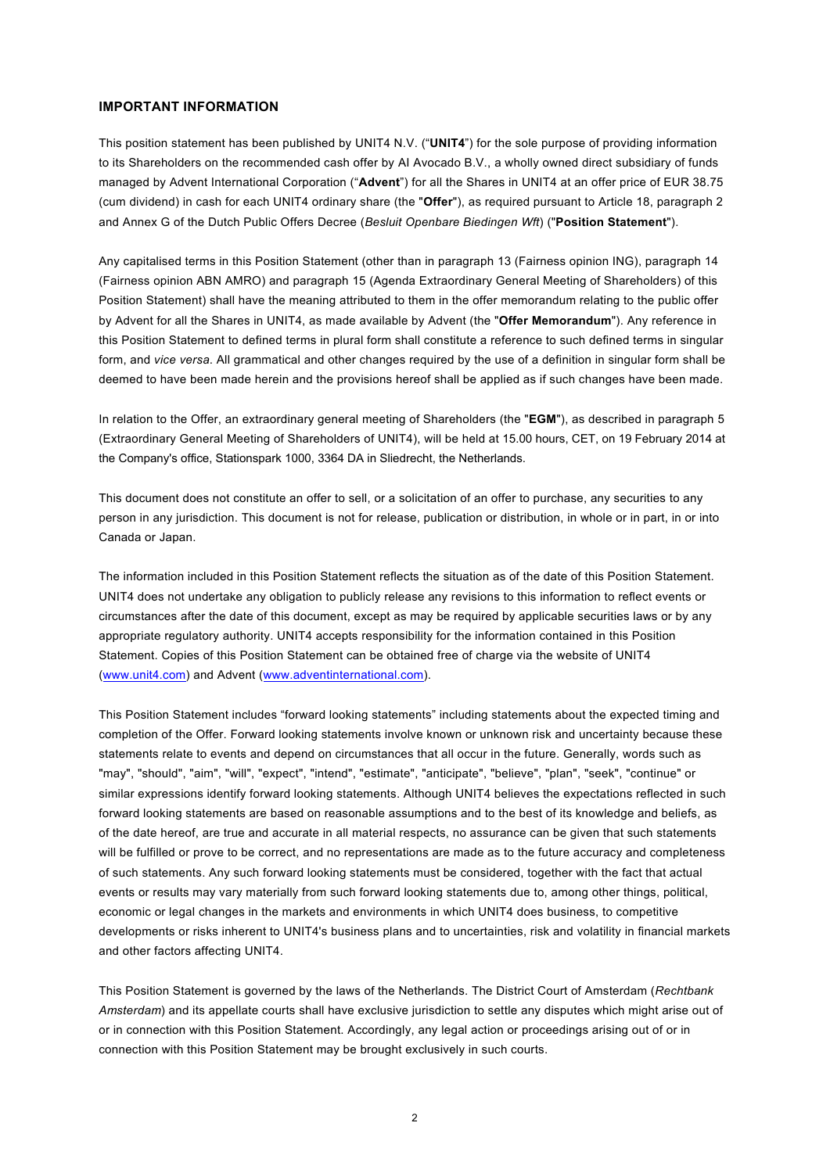#### **IMPORTANT INFORMATION**

This position statement has been published by UNIT4 N.V. ("**UNIT4**") for the sole purpose of providing information to its Shareholders on the recommended cash offer by AI Avocado B.V., a wholly owned direct subsidiary of funds managed by Advent International Corporation ("**Advent**") for all the Shares in UNIT4 at an offer price of EUR 38.75 (cum dividend) in cash for each UNIT4 ordinary share (the "**Offer**"), as required pursuant to Article 18, paragraph 2 and Annex G of the Dutch Public Offers Decree (*Besluit Openbare Biedingen Wft*) ("**Position Statement**").

Any capitalised terms in this Position Statement (other than in paragraph 13 (Fairness opinion ING), paragraph 14 (Fairness opinion ABN AMRO) and paragraph 15 (Agenda Extraordinary General Meeting of Shareholders) of this Position Statement) shall have the meaning attributed to them in the offer memorandum relating to the public offer by Advent for all the Shares in UNIT4, as made available by Advent (the "**Offer Memorandum**"). Any reference in this Position Statement to defined terms in plural form shall constitute a reference to such defined terms in singular form, and *vice versa*. All grammatical and other changes required by the use of a definition in singular form shall be deemed to have been made herein and the provisions hereof shall be applied as if such changes have been made.

In relation to the Offer, an extraordinary general meeting of Shareholders (the "**EGM**"), as described in paragraph 5 (Extraordinary General Meeting of Shareholders of UNIT4), will be held at 15.00 hours, CET, on 19 February 2014 at the Company's office, Stationspark 1000, 3364 DA in Sliedrecht, the Netherlands.

This document does not constitute an offer to sell, or a solicitation of an offer to purchase, any securities to any person in any jurisdiction. This document is not for release, publication or distribution, in whole or in part, in or into Canada or Japan.

The information included in this Position Statement reflects the situation as of the date of this Position Statement. UNIT4 does not undertake any obligation to publicly release any revisions to this information to reflect events or circumstances after the date of this document, except as may be required by applicable securities laws or by any appropriate regulatory authority. UNIT4 accepts responsibility for the information contained in this Position Statement. Copies of this Position Statement can be obtained free of charge via the website of UNIT4 ([www.unit4.com](http://www.unit4.com/)) and Advent [\(www.adventinternational.com](http://www.adventinternational.com/)).

This Position Statement includes "forward looking statements" including statements about the expected timing and completion of the Offer. Forward looking statements involve known or unknown risk and uncertainty because these statements relate to events and depend on circumstances that all occur in the future. Generally, words such as "may", "should", "aim", "will", "expect", "intend", "estimate", "anticipate", "believe", "plan", "seek", "continue" or similar expressions identify forward looking statements. Although UNIT4 believes the expectations reflected in such forward looking statements are based on reasonable assumptions and to the best of its knowledge and beliefs, as of the date hereof, are true and accurate in all material respects, no assurance can be given that such statements will be fulfilled or prove to be correct, and no representations are made as to the future accuracy and completeness of such statements. Any such forward looking statements must be considered, together with the fact that actual events or results may vary materially from such forward looking statements due to, among other things, political, economic or legal changes in the markets and environments in which UNIT4 does business, to competitive developments or risks inherent to UNIT4's business plans and to uncertainties, risk and volatility in financial markets and other factors affecting UNIT4.

This Position Statement is governed by the laws of the Netherlands. The District Court of Amsterdam (*Rechtbank Amsterdam*) and its appellate courts shall have exclusive jurisdiction to settle any disputes which might arise out of or in connection with this Position Statement. Accordingly, any legal action or proceedings arising out of or in connection with this Position Statement may be brought exclusively in such courts.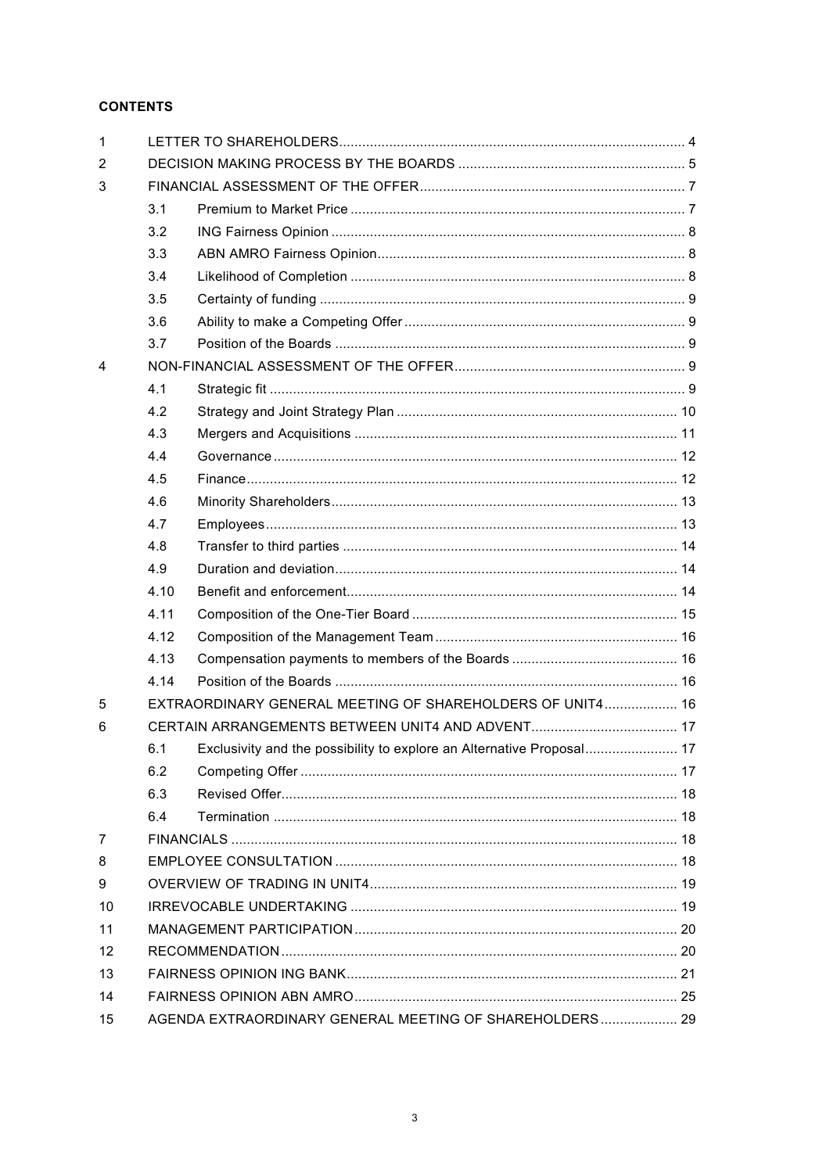# **CONTENTS**

| $\mathbf{1}$   |                                                           |                                                                       |  |  |  |  |
|----------------|-----------------------------------------------------------|-----------------------------------------------------------------------|--|--|--|--|
| 2              |                                                           |                                                                       |  |  |  |  |
| 3              |                                                           |                                                                       |  |  |  |  |
|                | 3.1                                                       |                                                                       |  |  |  |  |
|                | 3.2                                                       |                                                                       |  |  |  |  |
|                | 3.3                                                       |                                                                       |  |  |  |  |
|                | 3.4                                                       |                                                                       |  |  |  |  |
|                | 3.5                                                       |                                                                       |  |  |  |  |
|                | 3.6                                                       |                                                                       |  |  |  |  |
|                | 3.7                                                       |                                                                       |  |  |  |  |
| 4              |                                                           |                                                                       |  |  |  |  |
|                | 4.1                                                       |                                                                       |  |  |  |  |
|                | 4.2                                                       |                                                                       |  |  |  |  |
|                | 4.3                                                       |                                                                       |  |  |  |  |
|                | 4.4                                                       |                                                                       |  |  |  |  |
|                | 4.5                                                       |                                                                       |  |  |  |  |
|                | 4.6                                                       |                                                                       |  |  |  |  |
|                | 4.7                                                       |                                                                       |  |  |  |  |
|                | 4.8                                                       |                                                                       |  |  |  |  |
|                | 4.9                                                       |                                                                       |  |  |  |  |
|                | 4.10                                                      |                                                                       |  |  |  |  |
|                | 4.11                                                      |                                                                       |  |  |  |  |
|                | 4.12                                                      |                                                                       |  |  |  |  |
|                | 4.13                                                      |                                                                       |  |  |  |  |
|                | 4.14                                                      |                                                                       |  |  |  |  |
| 5              | EXTRAORDINARY GENERAL MEETING OF SHAREHOLDERS OF UNIT4 16 |                                                                       |  |  |  |  |
| 6              |                                                           |                                                                       |  |  |  |  |
|                | 6.1                                                       | Exclusivity and the possibility to explore an Alternative Proposal 17 |  |  |  |  |
|                | 6.2                                                       |                                                                       |  |  |  |  |
|                | 6.3                                                       |                                                                       |  |  |  |  |
|                | 6.4                                                       |                                                                       |  |  |  |  |
| $\overline{7}$ |                                                           |                                                                       |  |  |  |  |
| 8              |                                                           |                                                                       |  |  |  |  |
| 9              |                                                           |                                                                       |  |  |  |  |
| 10             |                                                           |                                                                       |  |  |  |  |
| 11             |                                                           |                                                                       |  |  |  |  |
| 12             |                                                           |                                                                       |  |  |  |  |
| 13             |                                                           |                                                                       |  |  |  |  |
| 14             |                                                           |                                                                       |  |  |  |  |
| 15             |                                                           | AGENDA EXTRAORDINARY GENERAL MEETING OF SHAREHOLDERS 29               |  |  |  |  |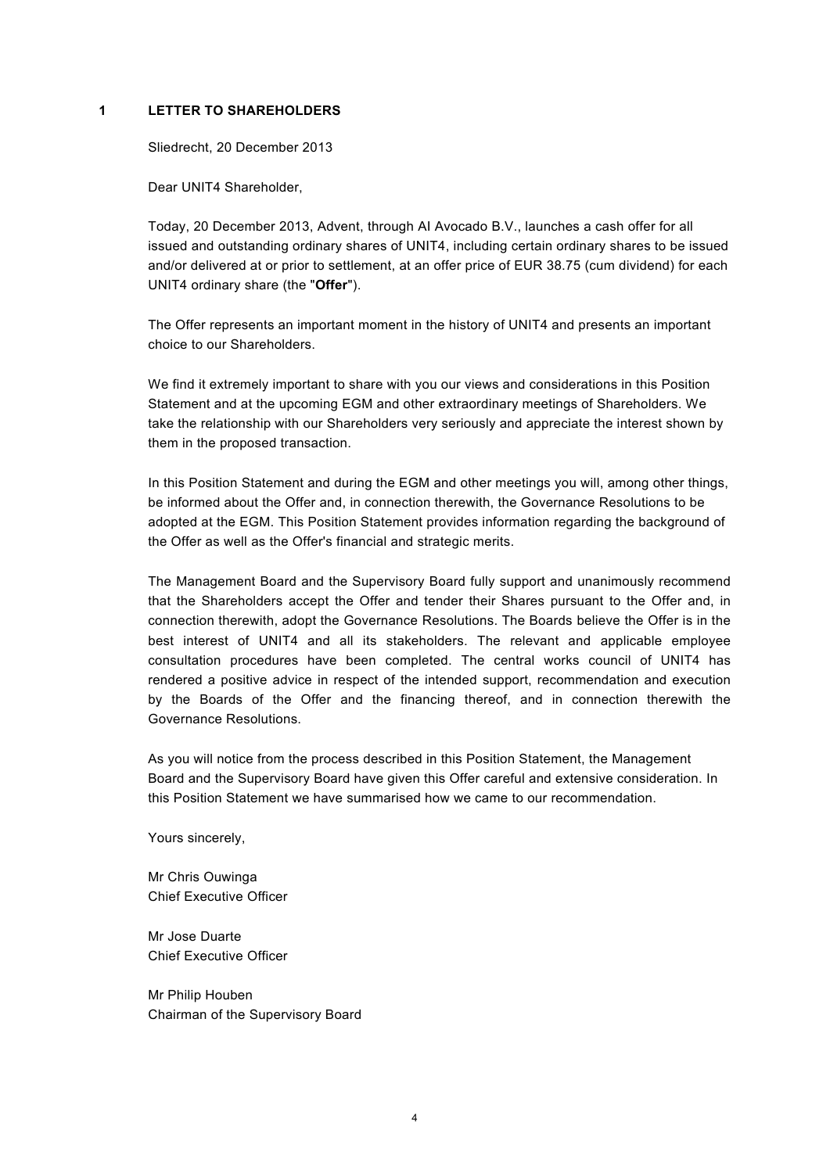### **1 LETTER TO SHAREHOLDERS**

<span id="page-3-0"></span>Sliedrecht, 20 December 2013

Dear UNIT4 Shareholder,

Today, 20 December 2013, Advent, through AI Avocado B.V., launches a cash offer for all issued and outstanding ordinary shares of UNIT4, including certain ordinary shares to be issued and/or delivered at or prior to settlement, at an offer price of EUR 38.75 (cum dividend) for each UNIT4 ordinary share (the "**Offer**").

The Offer represents an important moment in the history of UNIT4 and presents an important choice to our Shareholders.

We find it extremely important to share with you our views and considerations in this Position Statement and at the upcoming EGM and other extraordinary meetings of Shareholders. We take the relationship with our Shareholders very seriously and appreciate the interest shown by them in the proposed transaction.

In this Position Statement and during the EGM and other meetings you will, among other things, be informed about the Offer and, in connection therewith, the Governance Resolutions to be adopted at the EGM. This Position Statement provides information regarding the background of the Offer as well as the Offer's financial and strategic merits.

The Management Board and the Supervisory Board fully support and unanimously recommend that the Shareholders accept the Offer and tender their Shares pursuant to the Offer and, in connection therewith, adopt the Governance Resolutions. The Boards believe the Offer is in the best interest of UNIT4 and all its stakeholders. The relevant and applicable employee consultation procedures have been completed. The central works council of UNIT4 has rendered a positive advice in respect of the intended support, recommendation and execution by the Boards of the Offer and the financing thereof, and in connection therewith the Governance Resolutions.

As you will notice from the process described in this Position Statement, the Management Board and the Supervisory Board have given this Offer careful and extensive consideration. In this Position Statement we have summarised how we came to our recommendation.

Yours sincerely,

Mr Chris Ouwinga Chief Executive Officer

Mr Jose Duarte Chief Executive Officer

Mr Philip Houben Chairman of the Supervisory Board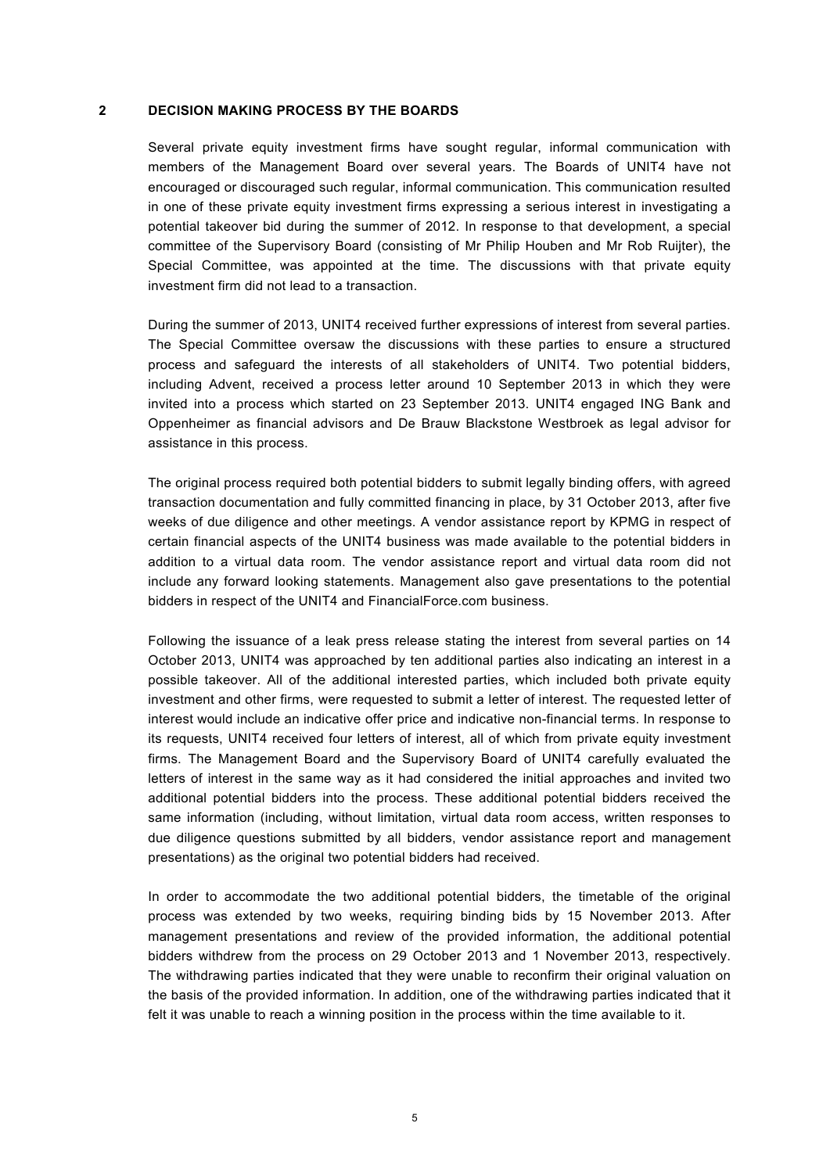#### **2 DECISION MAKING PROCESS BY THE BOARDS**

<span id="page-4-0"></span>Several private equity investment firms have sought regular, informal communication with members of the Management Board over several years. The Boards of UNIT4 have not encouraged or discouraged such regular, informal communication. This communication resulted in one of these private equity investment firms expressing a serious interest in investigating a potential takeover bid during the summer of 2012. In response to that development, a special committee of the Supervisory Board (consisting of Mr Philip Houben and Mr Rob Ruijter), the Special Committee, was appointed at the time. The discussions with that private equity investment firm did not lead to a transaction.

During the summer of 2013, UNIT4 received further expressions of interest from several parties. The Special Committee oversaw the discussions with these parties to ensure a structured process and safeguard the interests of all stakeholders of UNIT4. Two potential bidders, including Advent, received a process letter around 10 September 2013 in which they were invited into a process which started on 23 September 2013. UNIT4 engaged ING Bank and Oppenheimer as financial advisors and De Brauw Blackstone Westbroek as legal advisor for assistance in this process.

The original process required both potential bidders to submit legally binding offers, with agreed transaction documentation and fully committed financing in place, by 31 October 2013, after five weeks of due diligence and other meetings. A vendor assistance report by KPMG in respect of certain financial aspects of the UNIT4 business was made available to the potential bidders in addition to a virtual data room. The vendor assistance report and virtual data room did not include any forward looking statements. Management also gave presentations to the potential bidders in respect of the UNIT4 and FinancialForce.com business.

Following the issuance of a leak press release stating the interest from several parties on 14 October 2013, UNIT4 was approached by ten additional parties also indicating an interest in a possible takeover. All of the additional interested parties, which included both private equity investment and other firms, were requested to submit a letter of interest. The requested letter of interest would include an indicative offer price and indicative non-financial terms. In response to its requests, UNIT4 received four letters of interest, all of which from private equity investment firms. The Management Board and the Supervisory Board of UNIT4 carefully evaluated the letters of interest in the same way as it had considered the initial approaches and invited two additional potential bidders into the process. These additional potential bidders received the same information (including, without limitation, virtual data room access, written responses to due diligence questions submitted by all bidders, vendor assistance report and management presentations) as the original two potential bidders had received.

In order to accommodate the two additional potential bidders, the timetable of the original process was extended by two weeks, requiring binding bids by 15 November 2013. After management presentations and review of the provided information, the additional potential bidders withdrew from the process on 29 October 2013 and 1 November 2013, respectively. The withdrawing parties indicated that they were unable to reconfirm their original valuation on the basis of the provided information. In addition, one of the withdrawing parties indicated that it felt it was unable to reach a winning position in the process within the time available to it.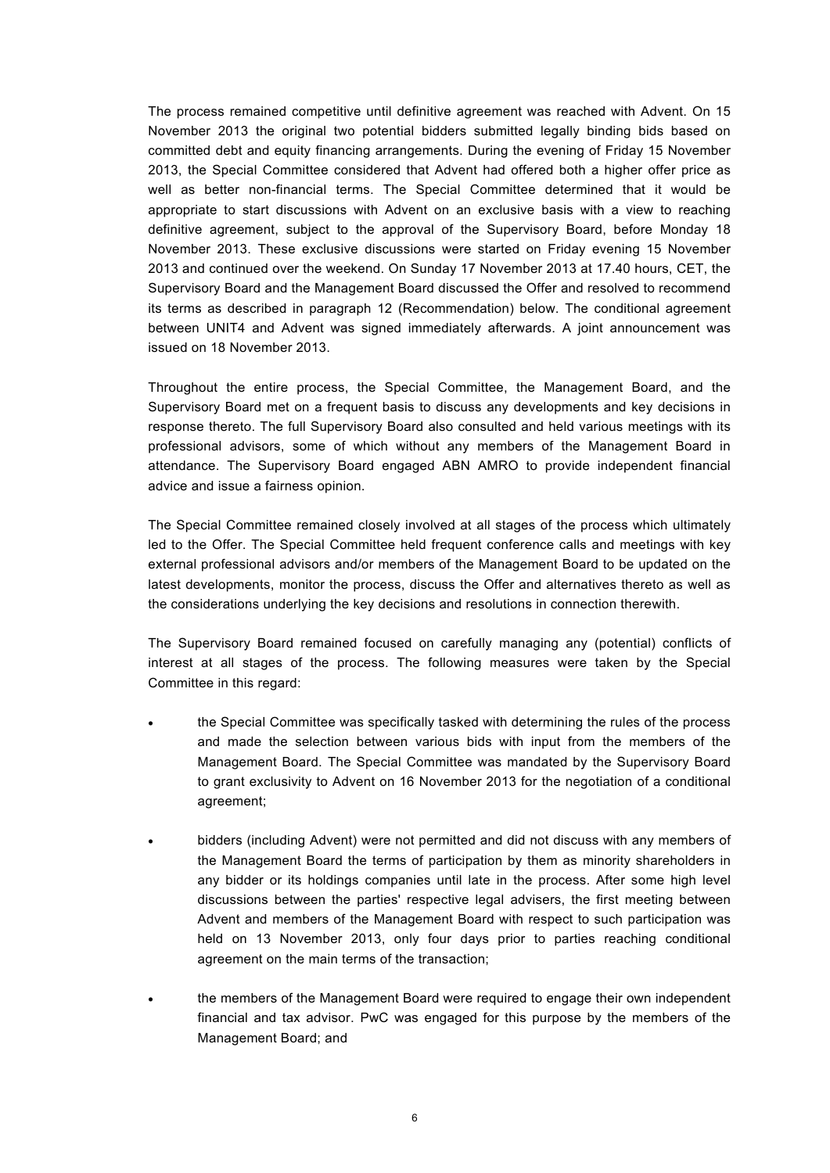The process remained competitive until definitive agreement was reached with Advent. On 15 November 2013 the original two potential bidders submitted legally binding bids based on committed debt and equity financing arrangements. During the evening of Friday 15 November 2013, the Special Committee considered that Advent had offered both a higher offer price as well as better non-financial terms. The Special Committee determined that it would be appropriate to start discussions with Advent on an exclusive basis with a view to reaching definitive agreement, subject to the approval of the Supervisory Board, before Monday 18 November 2013. These exclusive discussions were started on Friday evening 15 November 2013 and continued over the weekend. On Sunday 17 November 2013 at 17.40 hours, CET, the Supervisory Board and the Management Board discussed the Offer and resolved to recommend its terms as described in paragraph 12 (Recommendation) below. The conditional agreement between UNIT4 and Advent was signed immediately afterwards. A joint announcement was issued on 18 November 2013.

Throughout the entire process, the Special Committee, the Management Board, and the Supervisory Board met on a frequent basis to discuss any developments and key decisions in response thereto. The full Supervisory Board also consulted and held various meetings with its professional advisors, some of which without any members of the Management Board in attendance. The Supervisory Board engaged ABN AMRO to provide independent financial advice and issue a fairness opinion.

The Special Committee remained closely involved at all stages of the process which ultimately led to the Offer. The Special Committee held frequent conference calls and meetings with key external professional advisors and/or members of the Management Board to be updated on the latest developments, monitor the process, discuss the Offer and alternatives thereto as well as the considerations underlying the key decisions and resolutions in connection therewith.

The Supervisory Board remained focused on carefully managing any (potential) conflicts of interest at all stages of the process. The following measures were taken by the Special Committee in this regard:

- the Special Committee was specifically tasked with determining the rules of the process and made the selection between various bids with input from the members of the Management Board. The Special Committee was mandated by the Supervisory Board to grant exclusivity to Advent on 16 November 2013 for the negotiation of a conditional agreement;
- bidders (including Advent) were not permitted and did not discuss with any members of the Management Board the terms of participation by them as minority shareholders in any bidder or its holdings companies until late in the process. After some high level discussions between the parties' respective legal advisers, the first meeting between Advent and members of the Management Board with respect to such participation was held on 13 November 2013, only four days prior to parties reaching conditional agreement on the main terms of the transaction;
- the members of the Management Board were required to engage their own independent financial and tax advisor. PwC was engaged for this purpose by the members of the Management Board; and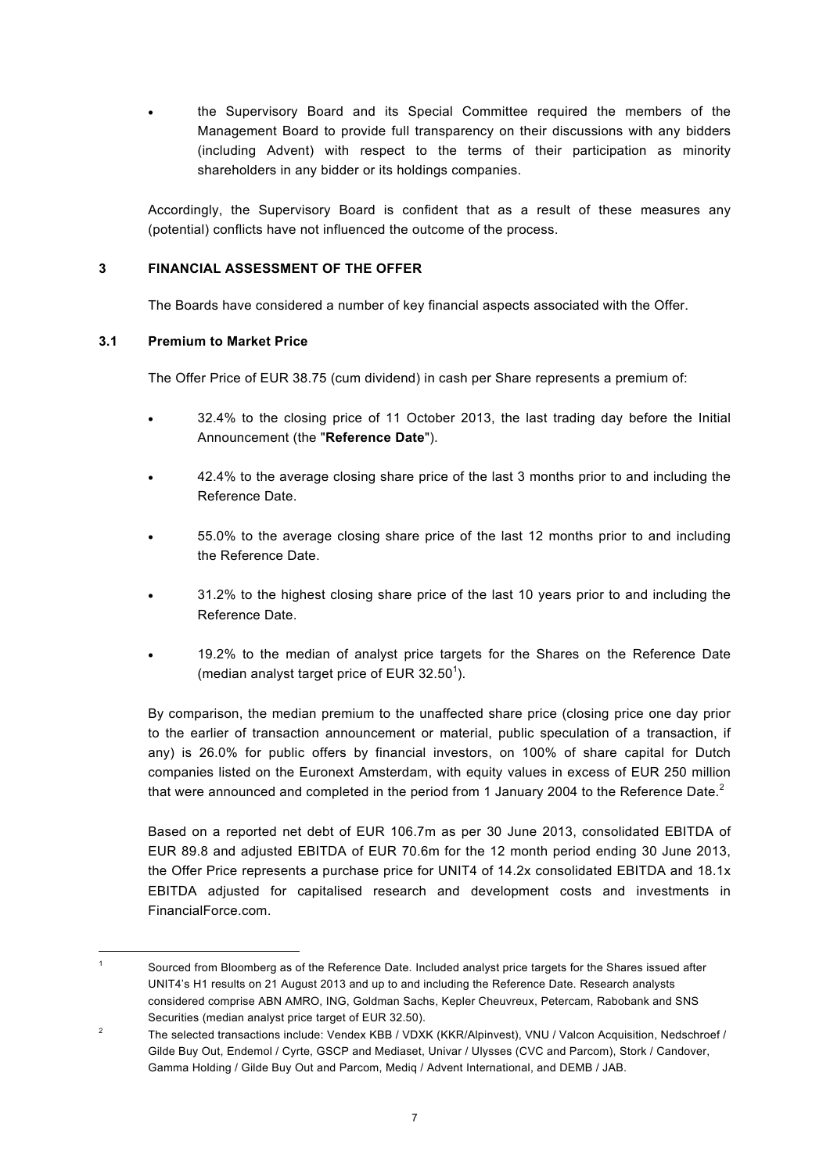the Supervisory Board and its Special Committee required the members of the Management Board to provide full transparency on their discussions with any bidders (including Advent) with respect to the terms of their participation as minority shareholders in any bidder or its holdings companies.

Accordingly, the Supervisory Board is confident that as a result of these measures any (potential) conflicts have not influenced the outcome of the process.

# **3 FINANCIAL ASSESSMENT OF THE OFFER**

<span id="page-6-1"></span><span id="page-6-0"></span>The Boards have considered a number of key financial aspects associated with the Offer.

# **3.1 Premium to Market Price**

-

The Offer Price of EUR 38.75 (cum dividend) in cash per Share represents a premium of:

- 32.4% to the closing price of 11 October 2013, the last trading day before the Initial Announcement (the "**Reference Date**").
- 42.4% to the average closing share price of the last 3 months prior to and including the Reference Date.
- 55.0% to the average closing share price of the last 12 months prior to and including the Reference Date.
- 31.2% to the highest closing share price of the last 10 years prior to and including the Reference Date.
- 19.2% to the median of analyst price targets for the Shares on the Reference Date (median analyst target price of EUR  $32.50^1$ ).

By comparison, the median premium to the unaffected share price (closing price one day prior to the earlier of transaction announcement or material, public speculation of a transaction, if any) is 26.0% for public offers by financial investors, on 100% of share capital for Dutch companies listed on the Euronext Amsterdam, with equity values in excess of EUR 250 million that were announced and completed in the period from 1 January 2004 to the Reference Date. $2$ 

Based on a reported net debt of EUR 106.7m as per 30 June 2013, consolidated EBITDA of EUR 89.8 and adjusted EBITDA of EUR 70.6m for the 12 month period ending 30 June 2013, the Offer Price represents a purchase price for UNIT4 of 14.2x consolidated EBITDA and 18.1x EBITDA adjusted for capitalised research and development costs and investments in FinancialForce.com.

<sup>1</sup> Sourced from Bloomberg as of the Reference Date. Included analyst price targets for the Shares issued after UNIT4's H1 results on 21 August 2013 and up to and including the Reference Date. Research analysts considered comprise ABN AMRO, ING, Goldman Sachs, Kepler Cheuvreux, Petercam, Rabobank and SNS Securities (median analyst price target of EUR 32.50).

<sup>2</sup> The selected transactions include: Vendex KBB / VDXK (KKR/Alpinvest), VNU / Valcon Acquisition, Nedschroef / Gilde Buy Out, Endemol / Cyrte, GSCP and Mediaset, Univar / Ulysses (CVC and Parcom), Stork / Candover, Gamma Holding / Gilde Buy Out and Parcom, Mediq / Advent International, and DEMB / JAB.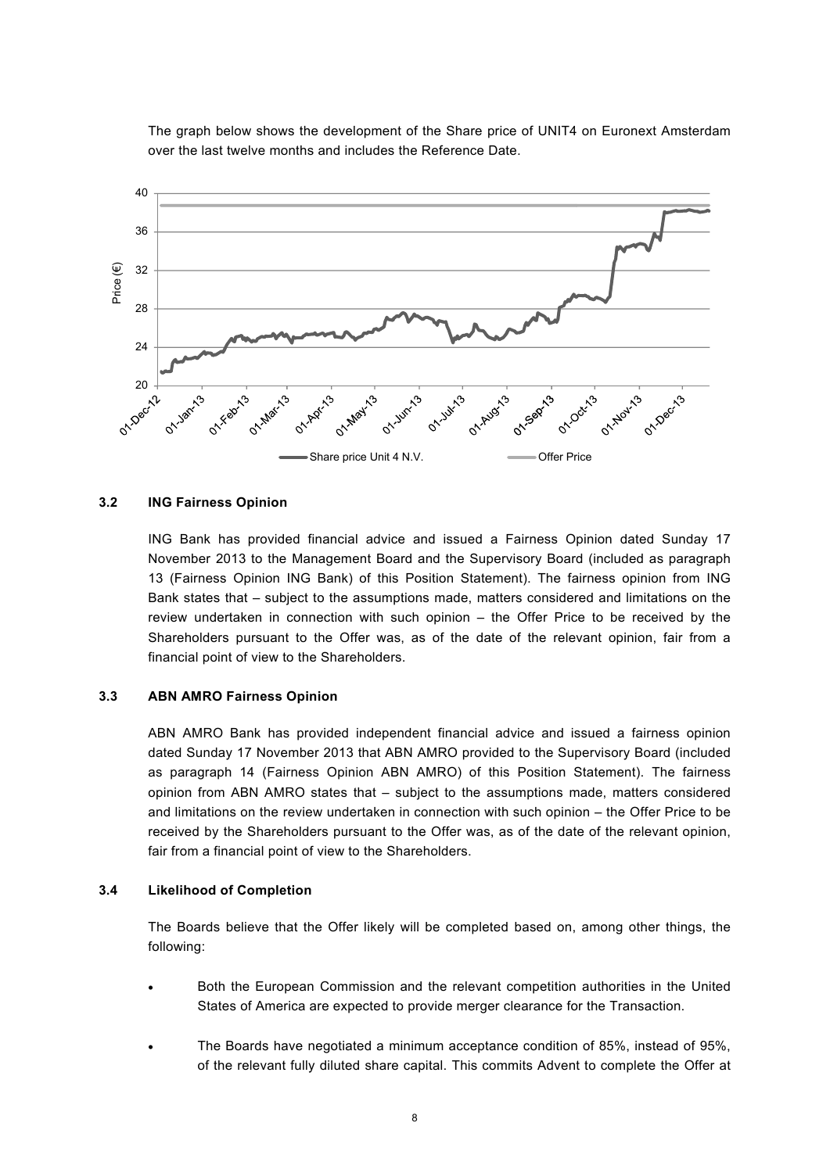

The graph below shows the development of the Share price of UNIT4 on Euronext Amsterdam over the last twelve months and includes the Reference Date.

### **3.2 ING Fairness Opinion**

<span id="page-7-0"></span>ING Bank has provided financial advice and issued a Fairness Opinion dated Sunday 17 November 2013 to the Management Board and the Supervisory Board (included as paragraph 13 (Fairness Opinion ING Bank) of this Position Statement). The fairness opinion from ING Bank states that – subject to the assumptions made, matters considered and limitations on the review undertaken in connection with such opinion – the Offer Price to be received by the Shareholders pursuant to the Offer was, as of the date of the relevant opinion, fair from a financial point of view to the Shareholders.

#### **3.3 ABN AMRO Fairness Opinion**

<span id="page-7-1"></span>ABN AMRO Bank has provided independent financial advice and issued a fairness opinion dated Sunday 17 November 2013 that ABN AMRO provided to the Supervisory Board (included as paragraph 14 (Fairness Opinion ABN AMRO) of this Position Statement). The fairness opinion from ABN AMRO states that – subject to the assumptions made, matters considered and limitations on the review undertaken in connection with such opinion – the Offer Price to be received by the Shareholders pursuant to the Offer was, as of the date of the relevant opinion, fair from a financial point of view to the Shareholders.

#### **3.4 Likelihood of Completion**

<span id="page-7-2"></span>The Boards believe that the Offer likely will be completed based on, among other things, the following:

- Both the European Commission and the relevant competition authorities in the United States of America are expected to provide merger clearance for the Transaction.
- The Boards have negotiated a minimum acceptance condition of 85%, instead of 95%, of the relevant fully diluted share capital. This commits Advent to complete the Offer at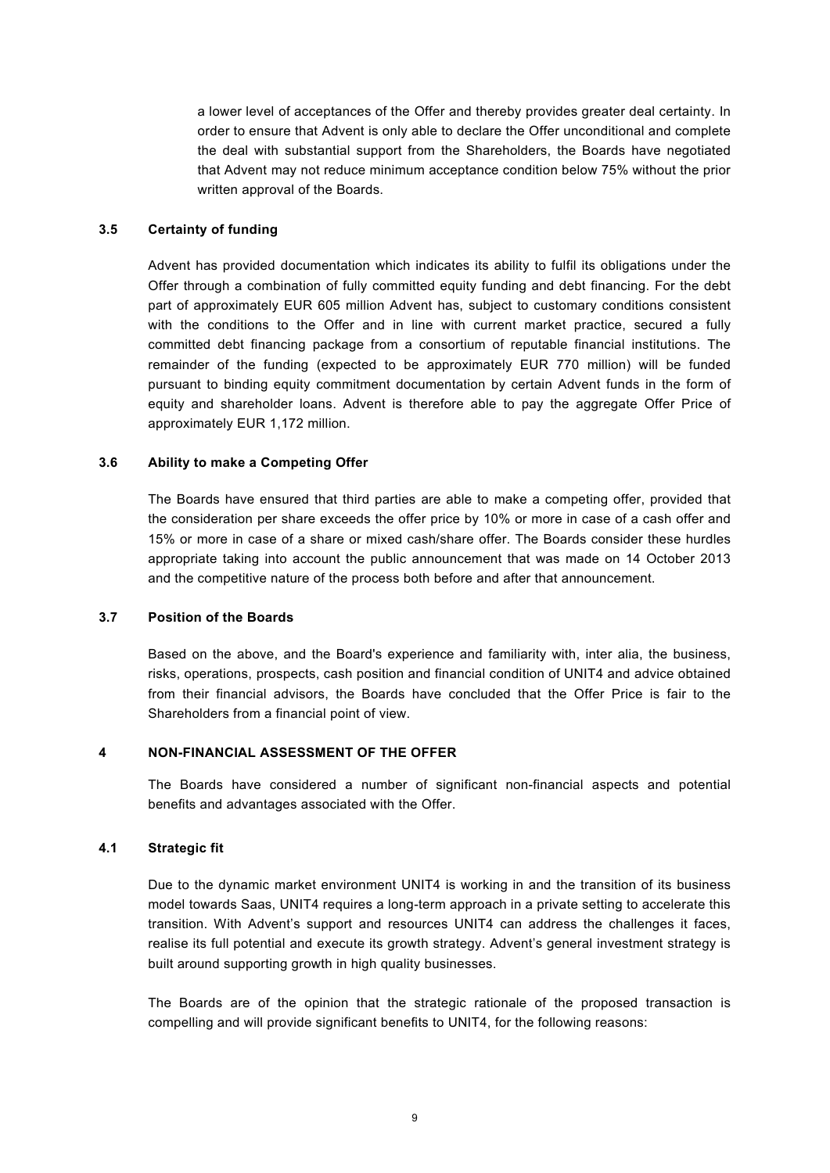a lower level of acceptances of the Offer and thereby provides greater deal certainty. In order to ensure that Advent is only able to declare the Offer unconditional and complete the deal with substantial support from the Shareholders, the Boards have negotiated that Advent may not reduce minimum acceptance condition below 75% without the prior written approval of the Boards.

# **3.5 Certainty of funding**

<span id="page-8-0"></span>Advent has provided documentation which indicates its ability to fulfil its obligations under the Offer through a combination of fully committed equity funding and debt financing. For the debt part of approximately EUR 605 million Advent has, subject to customary conditions consistent with the conditions to the Offer and in line with current market practice, secured a fully committed debt financing package from a consortium of reputable financial institutions. The remainder of the funding (expected to be approximately EUR 770 million) will be funded pursuant to binding equity commitment documentation by certain Advent funds in the form of equity and shareholder loans. Advent is therefore able to pay the aggregate Offer Price of approximately EUR 1,172 million.

# **3.6 Ability to make a Competing Offer**

<span id="page-8-1"></span>The Boards have ensured that third parties are able to make a competing offer, provided that the consideration per share exceeds the offer price by 10% or more in case of a cash offer and 15% or more in case of a share or mixed cash/share offer. The Boards consider these hurdles appropriate taking into account the public announcement that was made on 14 October 2013 and the competitive nature of the process both before and after that announcement.

### **3.7 Position of the Boards**

<span id="page-8-2"></span>Based on the above, and the Board's experience and familiarity with, inter alia, the business, risks, operations, prospects, cash position and financial condition of UNIT4 and advice obtained from their financial advisors, the Boards have concluded that the Offer Price is fair to the Shareholders from a financial point of view.

### **4 NON-FINANCIAL ASSESSMENT OF THE OFFER**

<span id="page-8-3"></span>The Boards have considered a number of significant non-financial aspects and potential benefits and advantages associated with the Offer.

### **4.1 Strategic fit**

<span id="page-8-4"></span>Due to the dynamic market environment UNIT4 is working in and the transition of its business model towards Saas, UNIT4 requires a long-term approach in a private setting to accelerate this transition. With Advent's support and resources UNIT4 can address the challenges it faces, realise its full potential and execute its growth strategy. Advent's general investment strategy is built around supporting growth in high quality businesses.

The Boards are of the opinion that the strategic rationale of the proposed transaction is compelling and will provide significant benefits to UNIT4, for the following reasons: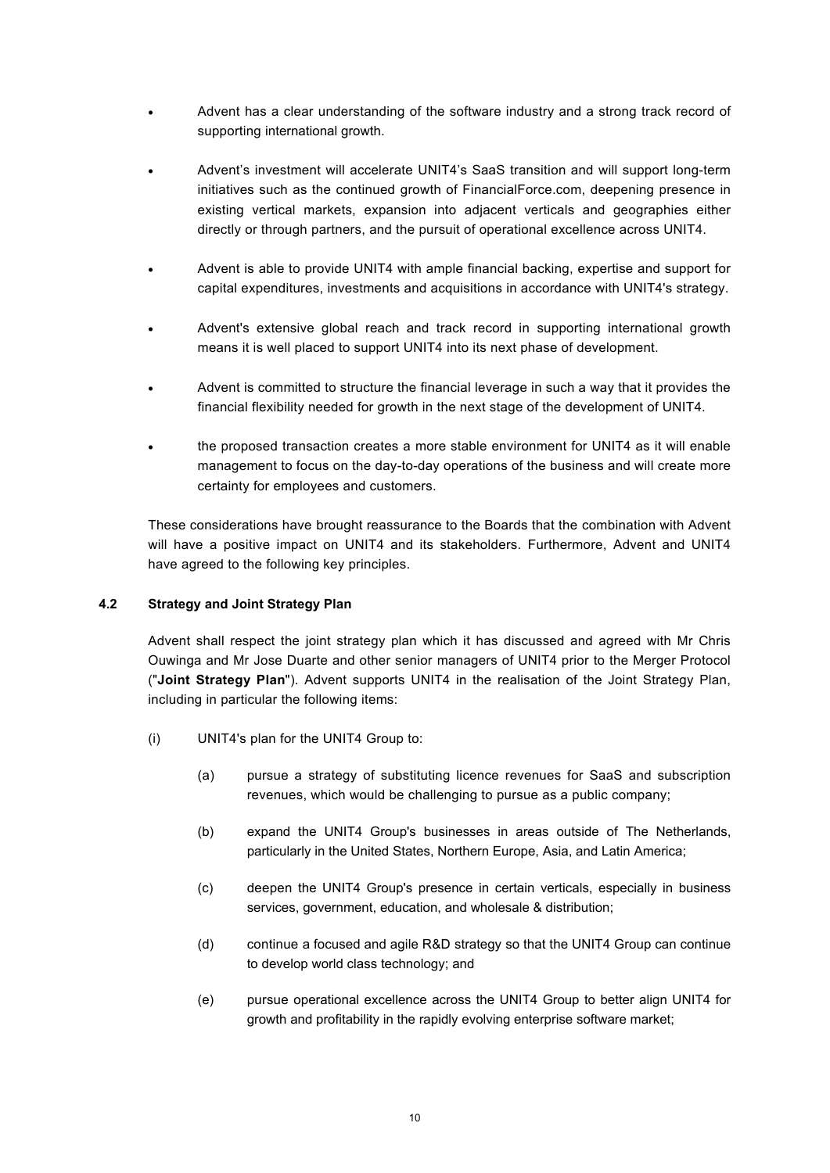- Advent has a clear understanding of the software industry and a strong track record of supporting international growth.
- Advent's investment will accelerate UNIT4's SaaS transition and will support long-term initiatives such as the continued growth of FinancialForce.com, deepening presence in existing vertical markets, expansion into adjacent verticals and geographies either directly or through partners, and the pursuit of operational excellence across UNIT4.
- Advent is able to provide UNIT4 with ample financial backing, expertise and support for capital expenditures, investments and acquisitions in accordance with UNIT4's strategy.
- Advent's extensive global reach and track record in supporting international growth means it is well placed to support UNIT4 into its next phase of development.
- Advent is committed to structure the financial leverage in such a way that it provides the financial flexibility needed for growth in the next stage of the development of UNIT4.
- the proposed transaction creates a more stable environment for UNIT4 as it will enable management to focus on the day-to-day operations of the business and will create more certainty for employees and customers.

These considerations have brought reassurance to the Boards that the combination with Advent will have a positive impact on UNIT4 and its stakeholders. Furthermore, Advent and UNIT4 have agreed to the following key principles.

# **4.2 Strategy and Joint Strategy Plan**

<span id="page-9-0"></span>Advent shall respect the joint strategy plan which it has discussed and agreed with Mr Chris Ouwinga and Mr Jose Duarte and other senior managers of UNIT4 prior to the Merger Protocol ("**Joint Strategy Plan**"). Advent supports UNIT4 in the realisation of the Joint Strategy Plan, including in particular the following items:

- (i) UNIT4's plan for the UNIT4 Group to:
	- (a) pursue a strategy of substituting licence revenues for SaaS and subscription revenues, which would be challenging to pursue as a public company;
	- (b) expand the UNIT4 Group's businesses in areas outside of The Netherlands, particularly in the United States, Northern Europe, Asia, and Latin America;
	- (c) deepen the UNIT4 Group's presence in certain verticals, especially in business services, government, education, and wholesale & distribution;
	- (d) continue a focused and agile R&D strategy so that the UNIT4 Group can continue to develop world class technology; and
	- (e) pursue operational excellence across the UNIT4 Group to better align UNIT4 for growth and profitability in the rapidly evolving enterprise software market;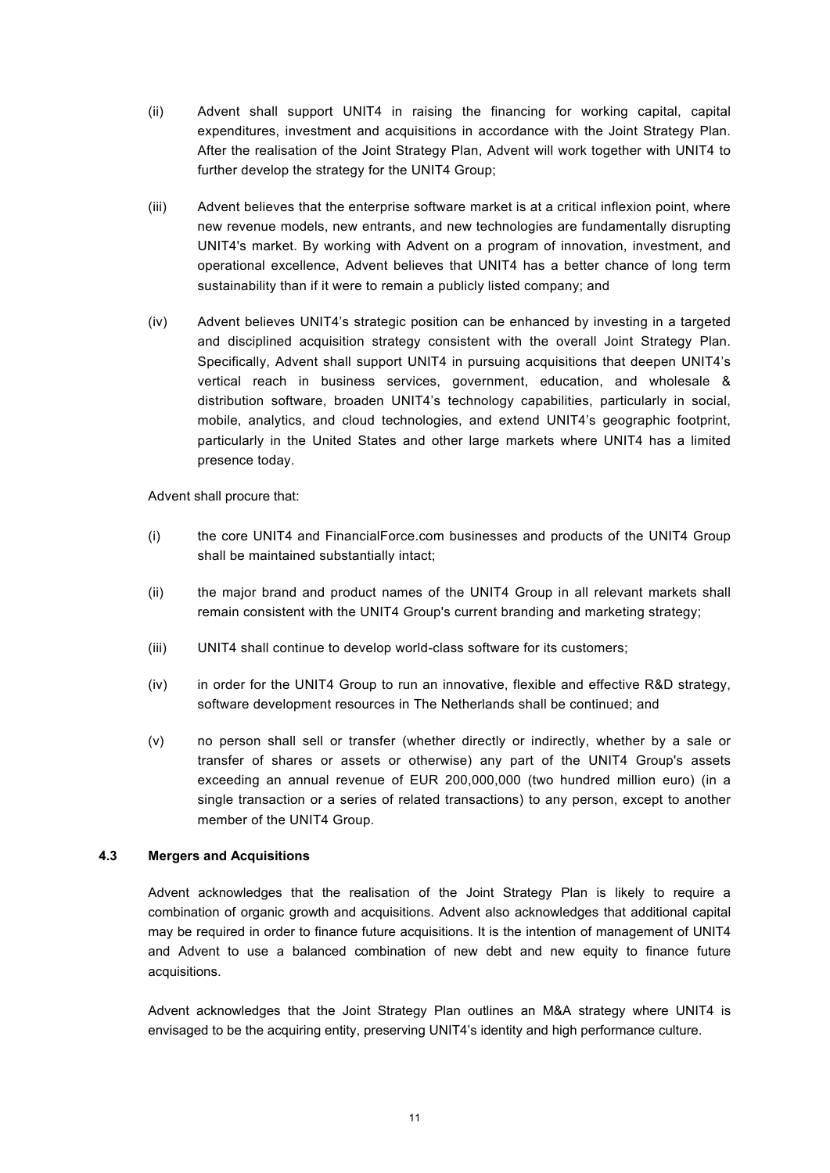- (ii) Advent shall support UNIT4 in raising the financing for working capital, capital expenditures, investment and acquisitions in accordance with the Joint Strategy Plan. After the realisation of the Joint Strategy Plan, Advent will work together with UNIT4 to further develop the strategy for the UNIT4 Group;
- (iii) Advent believes that the enterprise software market is at a critical inflexion point, where new revenue models, new entrants, and new technologies are fundamentally disrupting UNIT4's market. By working with Advent on a program of innovation, investment, and operational excellence, Advent believes that UNIT4 has a better chance of long term sustainability than if it were to remain a publicly listed company; and
- (iv) Advent believes UNIT4's strategic position can be enhanced by investing in a targeted and disciplined acquisition strategy consistent with the overall Joint Strategy Plan. Specifically, Advent shall support UNIT4 in pursuing acquisitions that deepen UNIT4's vertical reach in business services, government, education, and wholesale & distribution software, broaden UNIT4's technology capabilities, particularly in social, mobile, analytics, and cloud technologies, and extend UNIT4's geographic footprint, particularly in the United States and other large markets where UNIT4 has a limited presence today.

Advent shall procure that:

- (i) the core UNIT4 and FinancialForce.com businesses and products of the UNIT4 Group shall be maintained substantially intact;
- (ii) the major brand and product names of the UNIT4 Group in all relevant markets shall remain consistent with the UNIT4 Group's current branding and marketing strategy;
- (iii) UNIT4 shall continue to develop world-class software for its customers;
- (iv) in order for the UNIT4 Group to run an innovative, flexible and effective R&D strategy, software development resources in The Netherlands shall be continued; and
- (v) no person shall sell or transfer (whether directly or indirectly, whether by a sale or transfer of shares or assets or otherwise) any part of the UNIT4 Group's assets exceeding an annual revenue of EUR 200,000,000 (two hundred million euro) (in a single transaction or a series of related transactions) to any person, except to another member of the UNIT4 Group.

### **4.3 Mergers and Acquisitions**

<span id="page-10-0"></span>Advent acknowledges that the realisation of the Joint Strategy Plan is likely to require a combination of organic growth and acquisitions. Advent also acknowledges that additional capital may be required in order to finance future acquisitions. It is the intention of management of UNIT4 and Advent to use a balanced combination of new debt and new equity to finance future acquisitions.

Advent acknowledges that the Joint Strategy Plan outlines an M&A strategy where UNIT4 is envisaged to be the acquiring entity, preserving UNIT4's identity and high performance culture.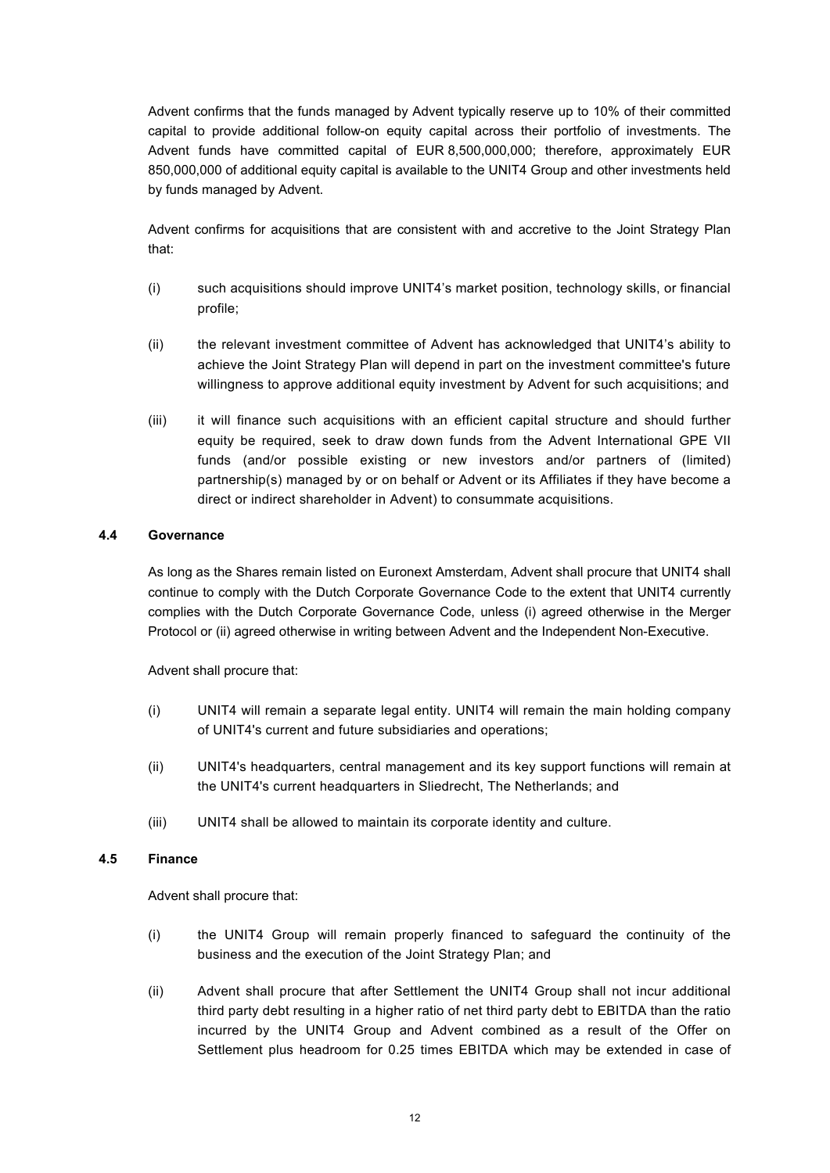Advent confirms that the funds managed by Advent typically reserve up to 10% of their committed capital to provide additional follow-on equity capital across their portfolio of investments. The Advent funds have committed capital of EUR 8,500,000,000; therefore, approximately EUR 850,000,000 of additional equity capital is available to the UNIT4 Group and other investments held by funds managed by Advent.

Advent confirms for acquisitions that are consistent with and accretive to the Joint Strategy Plan that:

- (i) such acquisitions should improve UNIT4's market position, technology skills, or financial profile;
- (ii) the relevant investment committee of Advent has acknowledged that UNIT4's ability to achieve the Joint Strategy Plan will depend in part on the investment committee's future willingness to approve additional equity investment by Advent for such acquisitions; and
- (iii) it will finance such acquisitions with an efficient capital structure and should further equity be required, seek to draw down funds from the Advent International GPE VII funds (and/or possible existing or new investors and/or partners of (limited) partnership(s) managed by or on behalf or Advent or its Affiliates if they have become a direct or indirect shareholder in Advent) to consummate acquisitions.

# **4.4 Governance**

<span id="page-11-0"></span>As long as the Shares remain listed on Euronext Amsterdam, Advent shall procure that UNIT4 shall continue to comply with the Dutch Corporate Governance Code to the extent that UNIT4 currently complies with the Dutch Corporate Governance Code, unless (i) agreed otherwise in the Merger Protocol or (ii) agreed otherwise in writing between Advent and the Independent Non-Executive.

Advent shall procure that:

- (i) UNIT4 will remain a separate legal entity. UNIT4 will remain the main holding company of UNIT4's current and future subsidiaries and operations;
- (ii) UNIT4's headquarters, central management and its key support functions will remain at the UNIT4's current headquarters in Sliedrecht, The Netherlands; and
- <span id="page-11-1"></span>(iii) UNIT4 shall be allowed to maintain its corporate identity and culture.

### **4.5 Finance**

Advent shall procure that:

- (i) the UNIT4 Group will remain properly financed to safeguard the continuity of the business and the execution of the Joint Strategy Plan; and
- (ii) Advent shall procure that after Settlement the UNIT4 Group shall not incur additional third party debt resulting in a higher ratio of net third party debt to EBITDA than the ratio incurred by the UNIT4 Group and Advent combined as a result of the Offer on Settlement plus headroom for 0.25 times EBITDA which may be extended in case of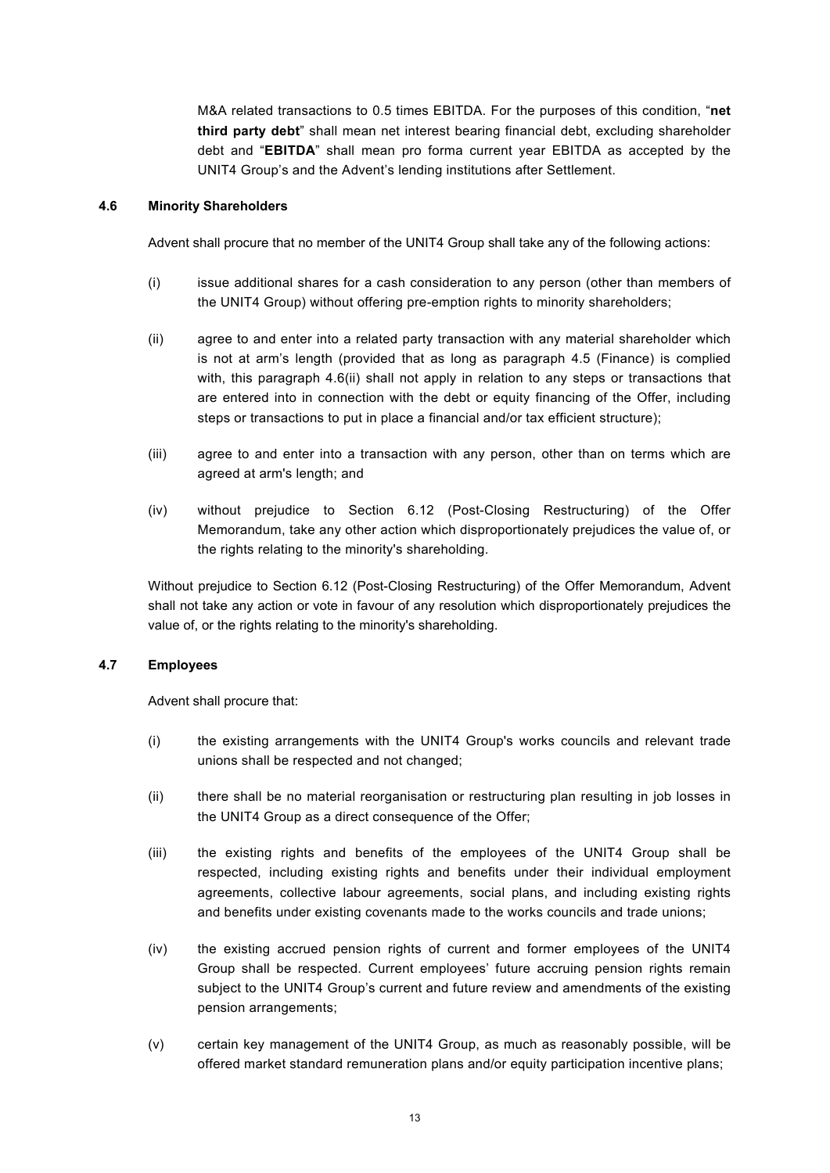M&A related transactions to 0.5 times EBITDA. For the purposes of this condition, "**net third party debt**" shall mean net interest bearing financial debt, excluding shareholder debt and "**EBITDA**" shall mean pro forma current year EBITDA as accepted by the UNIT4 Group's and the Advent's lending institutions after Settlement.

### **4.6 Minority Shareholders**

<span id="page-12-0"></span>Advent shall procure that no member of the UNIT4 Group shall take any of the following actions:

- (i) issue additional shares for a cash consideration to any person (other than members of the UNIT4 Group) without offering pre-emption rights to minority shareholders;
- (ii) agree to and enter into a related party transaction with any material shareholder which is not at arm's length (provided that as long as paragraph 4.5 (Finance) is complied with, this paragraph 4.6(ii) shall not apply in relation to any steps or transactions that are entered into in connection with the debt or equity financing of the Offer, including steps or transactions to put in place a financial and/or tax efficient structure);
- (iii) agree to and enter into a transaction with any person, other than on terms which are agreed at arm's length; and
- (iv) without prejudice to Section 6.12 (Post-Closing Restructuring) of the Offer Memorandum, take any other action which disproportionately prejudices the value of, or the rights relating to the minority's shareholding.

Without prejudice to Section 6.12 (Post-Closing Restructuring) of the Offer Memorandum, Advent shall not take any action or vote in favour of any resolution which disproportionately prejudices the value of, or the rights relating to the minority's shareholding.

# **4.7 Employees**

<span id="page-12-1"></span>Advent shall procure that:

- (i) the existing arrangements with the UNIT4 Group's works councils and relevant trade unions shall be respected and not changed;
- (ii) there shall be no material reorganisation or restructuring plan resulting in job losses in the UNIT4 Group as a direct consequence of the Offer;
- (iii) the existing rights and benefits of the employees of the UNIT4 Group shall be respected, including existing rights and benefits under their individual employment agreements, collective labour agreements, social plans, and including existing rights and benefits under existing covenants made to the works councils and trade unions;
- (iv) the existing accrued pension rights of current and former employees of the UNIT4 Group shall be respected. Current employees' future accruing pension rights remain subject to the UNIT4 Group's current and future review and amendments of the existing pension arrangements;
- (v) certain key management of the UNIT4 Group, as much as reasonably possible, will be offered market standard remuneration plans and/or equity participation incentive plans;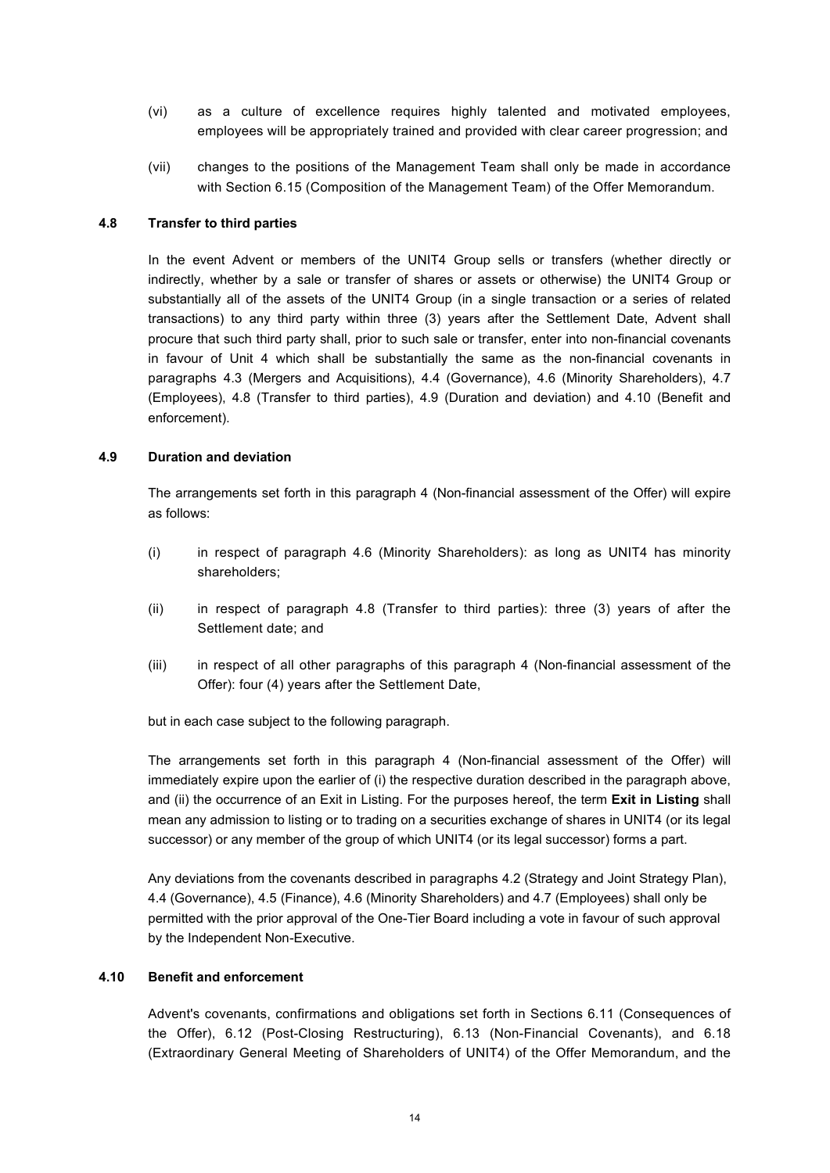- (vi) as a culture of excellence requires highly talented and motivated employees, employees will be appropriately trained and provided with clear career progression; and
- (vii) changes to the positions of the Management Team shall only be made in accordance with Section 6.15 (Composition of the Management Team) of the Offer Memorandum.

#### **4.8 Transfer to third parties**

<span id="page-13-0"></span>In the event Advent or members of the UNIT4 Group sells or transfers (whether directly or indirectly, whether by a sale or transfer of shares or assets or otherwise) the UNIT4 Group or substantially all of the assets of the UNIT4 Group (in a single transaction or a series of related transactions) to any third party within three (3) years after the Settlement Date, Advent shall procure that such third party shall, prior to such sale or transfer, enter into non-financial covenants in favour of Unit 4 which shall be substantially the same as the non-financial covenants in paragraphs 4.3 (Mergers and Acquisitions), 4.4 (Governance), 4.6 (Minority Shareholders), 4.7 (Employees), 4.8 (Transfer to third parties), 4.9 (Duration and deviation) and 4.10 (Benefit and enforcement).

#### **4.9 Duration and deviation**

<span id="page-13-1"></span>The arrangements set forth in this paragraph 4 (Non-financial assessment of the Offer) will expire as follows:

- (i) in respect of paragraph 4.6 (Minority Shareholders): as long as UNIT4 has minority shareholders;
- (ii) in respect of paragraph 4.8 (Transfer to third parties): three (3) years of after the Settlement date; and
- (iii) in respect of all other paragraphs of this paragraph 4 (Non-financial assessment of the Offer): four (4) years after the Settlement Date,

but in each case subject to the following paragraph.

The arrangements set forth in this paragraph 4 (Non-financial assessment of the Offer) will immediately expire upon the earlier of (i) the respective duration described in the paragraph above, and (ii) the occurrence of an Exit in Listing. For the purposes hereof, the term **Exit in Listing** shall mean any admission to listing or to trading on a securities exchange of shares in UNIT4 (or its legal successor) or any member of the group of which UNIT4 (or its legal successor) forms a part.

Any deviations from the covenants described in paragraphs 4.2 (Strategy and Joint Strategy Plan), 4.4 (Governance), 4.5 (Finance), 4.6 (Minority Shareholders) and 4.7 (Employees) shall only be permitted with the prior approval of the One-Tier Board including a vote in favour of such approval by the Independent Non-Executive.

### **4.10 Benefit and enforcement**

<span id="page-13-2"></span>Advent's covenants, confirmations and obligations set forth in Sections 6.11 (Consequences of the Offer), 6.12 (Post-Closing Restructuring), 6.13 (Non-Financial Covenants), and 6.18 (Extraordinary General Meeting of Shareholders of UNIT4) of the Offer Memorandum, and the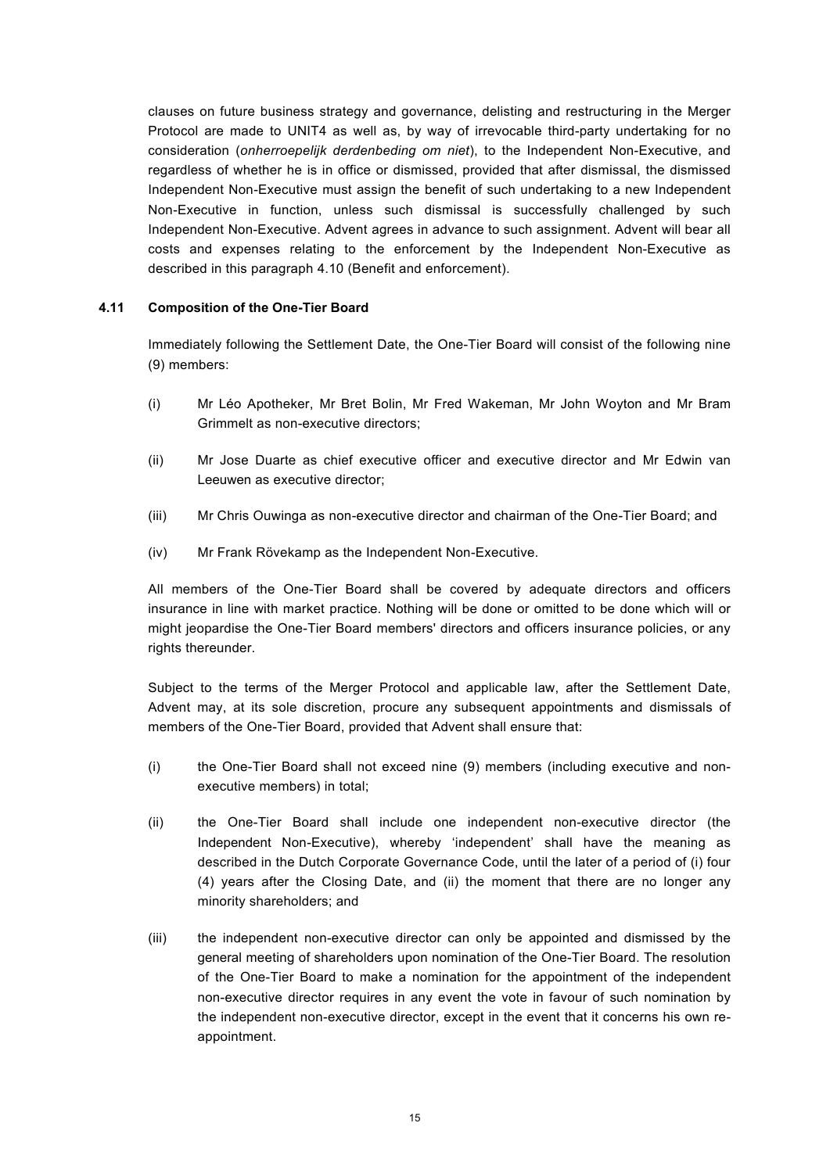clauses on future business strategy and governance, delisting and restructuring in the Merger Protocol are made to UNIT4 as well as, by way of irrevocable third-party undertaking for no consideration (*onherroepelijk derdenbeding om niet*), to the Independent Non-Executive, and regardless of whether he is in office or dismissed, provided that after dismissal, the dismissed Independent Non-Executive must assign the benefit of such undertaking to a new Independent Non-Executive in function, unless such dismissal is successfully challenged by such Independent Non-Executive. Advent agrees in advance to such assignment. Advent will bear all costs and expenses relating to the enforcement by the Independent Non-Executive as described in this paragraph 4.10 (Benefit and enforcement).

# **4.11 Composition of the One-Tier Board**

<span id="page-14-0"></span>Immediately following the Settlement Date, the One-Tier Board will consist of the following nine (9) members:

- (i) Mr Léo Apotheker, Mr Bret Bolin, Mr Fred Wakeman, Mr John Woyton and Mr Bram Grimmelt as non-executive directors;
- (ii) Mr Jose Duarte as chief executive officer and executive director and Mr Edwin van Leeuwen as executive director;
- (iii) Mr Chris Ouwinga as non-executive director and chairman of the One-Tier Board; and
- (iv) Mr Frank Rövekamp as the Independent Non-Executive.

All members of the One-Tier Board shall be covered by adequate directors and officers insurance in line with market practice. Nothing will be done or omitted to be done which will or might jeopardise the One-Tier Board members' directors and officers insurance policies, or any rights thereunder.

Subject to the terms of the Merger Protocol and applicable law, after the Settlement Date, Advent may, at its sole discretion, procure any subsequent appointments and dismissals of members of the One-Tier Board, provided that Advent shall ensure that:

- (i) the One-Tier Board shall not exceed nine (9) members (including executive and nonexecutive members) in total;
- (ii) the One-Tier Board shall include one independent non-executive director (the Independent Non-Executive), whereby 'independent' shall have the meaning as described in the Dutch Corporate Governance Code, until the later of a period of (i) four (4) years after the Closing Date, and (ii) the moment that there are no longer any minority shareholders; and
- (iii) the independent non-executive director can only be appointed and dismissed by the general meeting of shareholders upon nomination of the One-Tier Board. The resolution of the One-Tier Board to make a nomination for the appointment of the independent non-executive director requires in any event the vote in favour of such nomination by the independent non-executive director, except in the event that it concerns his own reappointment.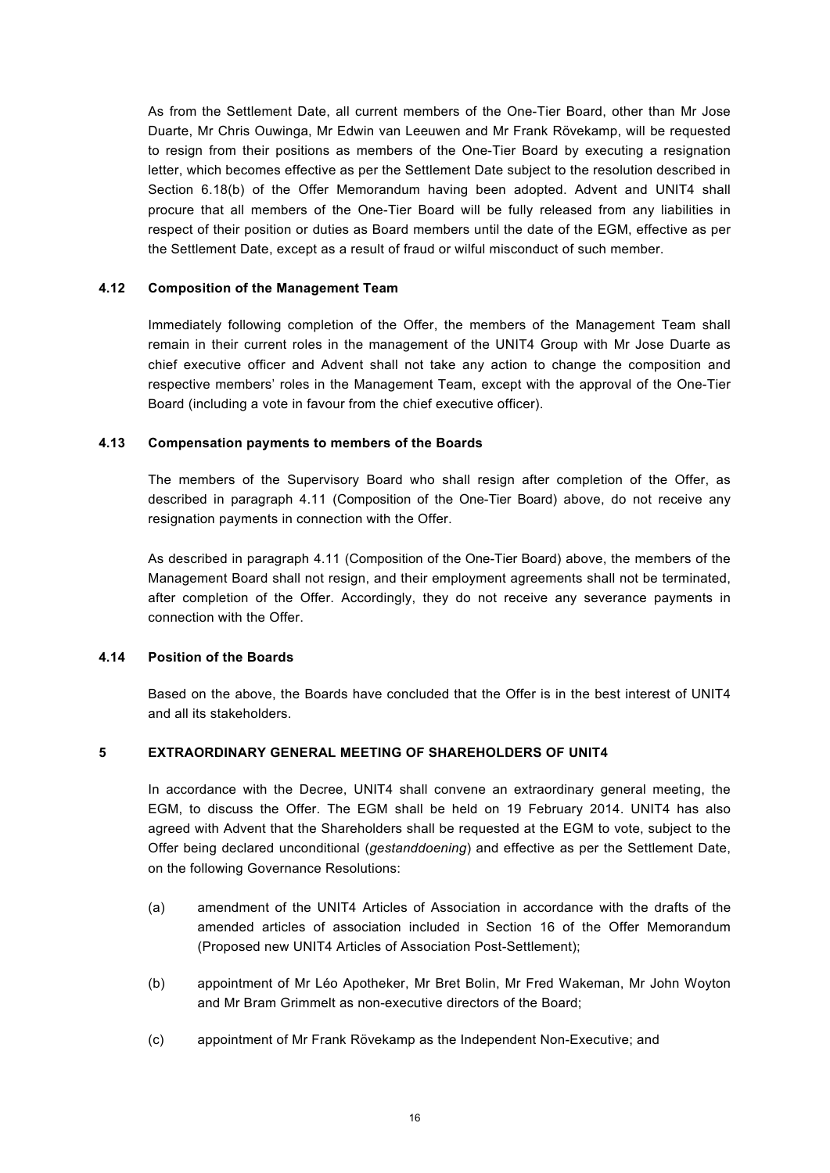As from the Settlement Date, all current members of the One-Tier Board, other than Mr Jose Duarte, Mr Chris Ouwinga, Mr Edwin van Leeuwen and Mr Frank Rövekamp, will be requested to resign from their positions as members of the One-Tier Board by executing a resignation letter, which becomes effective as per the Settlement Date subject to the resolution described in Section 6.18(b) of the Offer Memorandum having been adopted. Advent and UNIT4 shall procure that all members of the One-Tier Board will be fully released from any liabilities in respect of their position or duties as Board members until the date of the EGM, effective as per the Settlement Date, except as a result of fraud or wilful misconduct of such member.

# **4.12 Composition of the Management Team**

<span id="page-15-0"></span>Immediately following completion of the Offer, the members of the Management Team shall remain in their current roles in the management of the UNIT4 Group with Mr Jose Duarte as chief executive officer and Advent shall not take any action to change the composition and respective members' roles in the Management Team, except with the approval of the One-Tier Board (including a vote in favour from the chief executive officer).

# **4.13 Compensation payments to members of the Boards**

<span id="page-15-1"></span>The members of the Supervisory Board who shall resign after completion of the Offer, as described in paragraph 4.11 (Composition of the One-Tier Board) above, do not receive any resignation payments in connection with the Offer.

As described in paragraph 4.11 (Composition of the One-Tier Board) above, the members of the Management Board shall not resign, and their employment agreements shall not be terminated, after completion of the Offer. Accordingly, they do not receive any severance payments in connection with the Offer.

# **4.14 Position of the Boards**

<span id="page-15-2"></span>Based on the above, the Boards have concluded that the Offer is in the best interest of UNIT4 and all its stakeholders.

# **5 EXTRAORDINARY GENERAL MEETING OF SHAREHOLDERS OF UNIT4**

<span id="page-15-3"></span>In accordance with the Decree, UNIT4 shall convene an extraordinary general meeting, the EGM, to discuss the Offer. The EGM shall be held on 19 February 2014. UNIT4 has also agreed with Advent that the Shareholders shall be requested at the EGM to vote, subject to the Offer being declared unconditional (*gestanddoening*) and effective as per the Settlement Date, on the following Governance Resolutions:

- (a) amendment of the UNIT4 Articles of Association in accordance with the drafts of the amended articles of association included in Section 16 of the Offer Memorandum (Proposed new UNIT4 Articles of Association Post-Settlement);
- (b) appointment of Mr Léo Apotheker, Mr Bret Bolin, Mr Fred Wakeman, Mr John Woyton and Mr Bram Grimmelt as non-executive directors of the Board;
- (c) appointment of Mr Frank Rövekamp as the Independent Non-Executive; and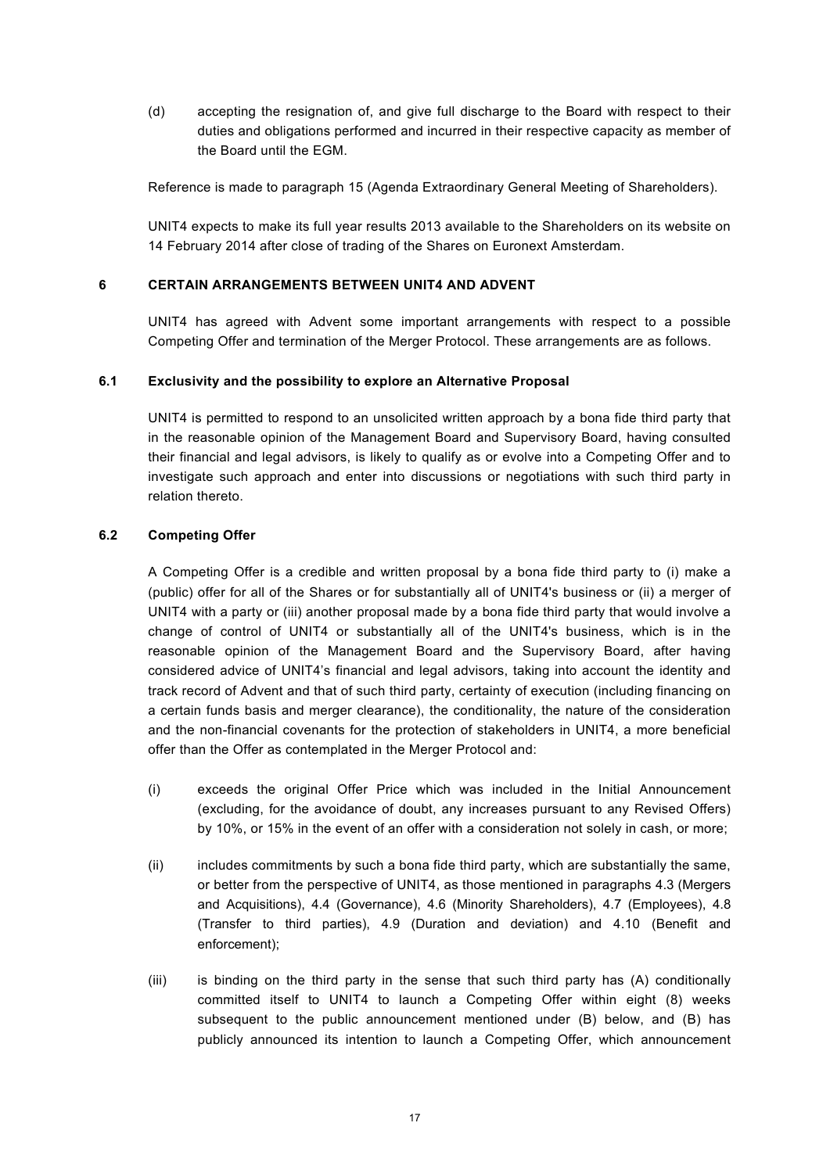(d) accepting the resignation of, and give full discharge to the Board with respect to their duties and obligations performed and incurred in their respective capacity as member of the Board until the EGM.

Reference is made to paragraph 15 (Agenda Extraordinary General Meeting of Shareholders).

UNIT4 expects to make its full year results 2013 available to the Shareholders on its website on 14 February 2014 after close of trading of the Shares on Euronext Amsterdam.

### **6 CERTAIN ARRANGEMENTS BETWEEN UNIT4 AND ADVENT**

<span id="page-16-0"></span>UNIT4 has agreed with Advent some important arrangements with respect to a possible Competing Offer and termination of the Merger Protocol. These arrangements are as follows.

### **6.1 Exclusivity and the possibility to explore an Alternative Proposal**

<span id="page-16-1"></span>UNIT4 is permitted to respond to an unsolicited written approach by a bona fide third party that in the reasonable opinion of the Management Board and Supervisory Board, having consulted their financial and legal advisors, is likely to qualify as or evolve into a Competing Offer and to investigate such approach and enter into discussions or negotiations with such third party in relation thereto.

# **6.2 Competing Offer**

<span id="page-16-2"></span>A Competing Offer is a credible and written proposal by a bona fide third party to (i) make a (public) offer for all of the Shares or for substantially all of UNIT4's business or (ii) a merger of UNIT4 with a party or (iii) another proposal made by a bona fide third party that would involve a change of control of UNIT4 or substantially all of the UNIT4's business, which is in the reasonable opinion of the Management Board and the Supervisory Board, after having considered advice of UNIT4's financial and legal advisors, taking into account the identity and track record of Advent and that of such third party, certainty of execution (including financing on a certain funds basis and merger clearance), the conditionality, the nature of the consideration and the non-financial covenants for the protection of stakeholders in UNIT4, a more beneficial offer than the Offer as contemplated in the Merger Protocol and:

- (i) exceeds the original Offer Price which was included in the Initial Announcement (excluding, for the avoidance of doubt, any increases pursuant to any Revised Offers) by 10%, or 15% in the event of an offer with a consideration not solely in cash, or more;
- (ii) includes commitments by such a bona fide third party, which are substantially the same, or better from the perspective of UNIT4, as those mentioned in paragraphs 4.3 (Mergers and Acquisitions), 4.4 (Governance), 4.6 (Minority Shareholders), 4.7 (Employees), 4.8 (Transfer to third parties), 4.9 (Duration and deviation) and 4.10 (Benefit and enforcement);
- (iii) is binding on the third party in the sense that such third party has (A) conditionally committed itself to UNIT4 to launch a Competing Offer within eight (8) weeks subsequent to the public announcement mentioned under (B) below, and (B) has publicly announced its intention to launch a Competing Offer, which announcement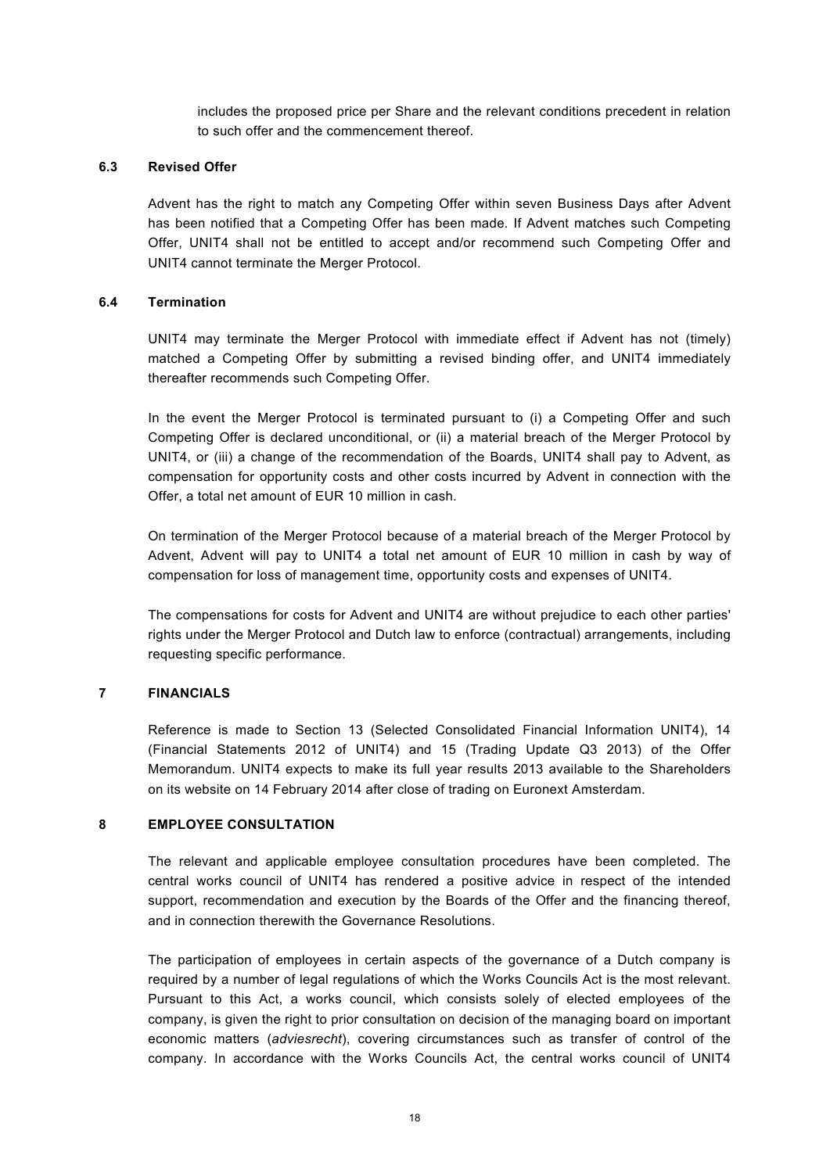includes the proposed price per Share and the relevant conditions precedent in relation to such offer and the commencement thereof.

### **6.3 Revised Offer**

<span id="page-17-0"></span>Advent has the right to match any Competing Offer within seven Business Days after Advent has been notified that a Competing Offer has been made. If Advent matches such Competing Offer, UNIT4 shall not be entitled to accept and/or recommend such Competing Offer and UNIT4 cannot terminate the Merger Protocol.

# **6.4 Termination**

<span id="page-17-1"></span>UNIT4 may terminate the Merger Protocol with immediate effect if Advent has not (timely) matched a Competing Offer by submitting a revised binding offer, and UNIT4 immediately thereafter recommends such Competing Offer.

In the event the Merger Protocol is terminated pursuant to (i) a Competing Offer and such Competing Offer is declared unconditional, or (ii) a material breach of the Merger Protocol by UNIT4, or (iii) a change of the recommendation of the Boards, UNIT4 shall pay to Advent, as compensation for opportunity costs and other costs incurred by Advent in connection with the Offer, a total net amount of EUR 10 million in cash.

On termination of the Merger Protocol because of a material breach of the Merger Protocol by Advent, Advent will pay to UNIT4 a total net amount of EUR 10 million in cash by way of compensation for loss of management time, opportunity costs and expenses of UNIT4.

The compensations for costs for Advent and UNIT4 are without prejudice to each other parties' rights under the Merger Protocol and Dutch law to enforce (contractual) arrangements, including requesting specific performance.

# **7 FINANCIALS**

<span id="page-17-2"></span>Reference is made to Section 13 (Selected Consolidated Financial Information UNIT4), 14 (Financial Statements 2012 of UNIT4) and 15 (Trading Update Q3 2013) of the Offer Memorandum. UNIT4 expects to make its full year results 2013 available to the Shareholders on its website on 14 February 2014 after close of trading on Euronext Amsterdam.

### **8 EMPLOYEE CONSULTATION**

<span id="page-17-3"></span>The relevant and applicable employee consultation procedures have been completed. The central works council of UNIT4 has rendered a positive advice in respect of the intended support, recommendation and execution by the Boards of the Offer and the financing thereof, and in connection therewith the Governance Resolutions.

The participation of employees in certain aspects of the governance of a Dutch company is required by a number of legal regulations of which the Works Councils Act is the most relevant. Pursuant to this Act, a works council, which consists solely of elected employees of the company, is given the right to prior consultation on decision of the managing board on important economic matters (*adviesrecht*), covering circumstances such as transfer of control of the company. In accordance with the Works Councils Act, the central works council of UNIT4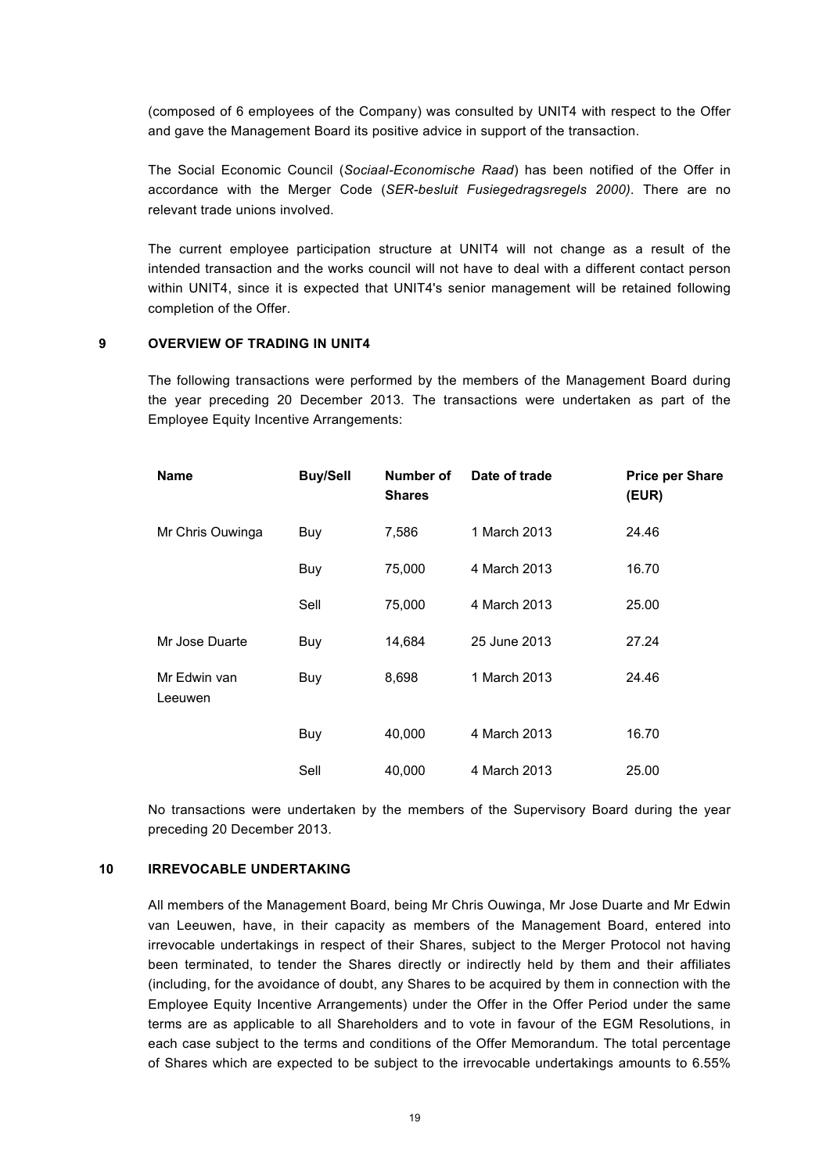(composed of 6 employees of the Company) was consulted by UNIT4 with respect to the Offer and gave the Management Board its positive advice in support of the transaction.

The Social Economic Council (*Sociaal-Economische Raad*) has been notified of the Offer in accordance with the Merger Code (*SER-besluit Fusiegedragsregels 2000)*. There are no relevant trade unions involved.

The current employee participation structure at UNIT4 will not change as a result of the intended transaction and the works council will not have to deal with a different contact person within UNIT4, since it is expected that UNIT4's senior management will be retained following completion of the Offer.

#### **9 OVERVIEW OF TRADING IN UNIT4**

<span id="page-18-0"></span>The following transactions were performed by the members of the Management Board during the year preceding 20 December 2013. The transactions were undertaken as part of the Employee Equity Incentive Arrangements:

| <b>Name</b>             | <b>Buy/Sell</b> | Number of<br><b>Shares</b> | Date of trade | <b>Price per Share</b><br>(EUR) |
|-------------------------|-----------------|----------------------------|---------------|---------------------------------|
| Mr Chris Ouwinga        | Buy             | 7,586                      | 1 March 2013  | 24.46                           |
|                         | Buy             | 75,000                     | 4 March 2013  | 16.70                           |
|                         | Sell            | 75,000                     | 4 March 2013  | 25.00                           |
| Mr Jose Duarte          | Buy             | 14,684                     | 25 June 2013  | 27.24                           |
| Mr Edwin van<br>Leeuwen | Buy             | 8,698                      | 1 March 2013  | 24.46                           |
|                         | Buy             | 40,000                     | 4 March 2013  | 16.70                           |
|                         | Sell            | 40,000                     | 4 March 2013  | 25.00                           |

No transactions were undertaken by the members of the Supervisory Board during the year preceding 20 December 2013.

#### **10 IRREVOCABLE UNDERTAKING**

<span id="page-18-1"></span>All members of the Management Board, being Mr Chris Ouwinga, Mr Jose Duarte and Mr Edwin van Leeuwen, have, in their capacity as members of the Management Board, entered into irrevocable undertakings in respect of their Shares, subject to the Merger Protocol not having been terminated, to tender the Shares directly or indirectly held by them and their affiliates (including, for the avoidance of doubt, any Shares to be acquired by them in connection with the Employee Equity Incentive Arrangements) under the Offer in the Offer Period under the same terms are as applicable to all Shareholders and to vote in favour of the EGM Resolutions, in each case subject to the terms and conditions of the Offer Memorandum. The total percentage of Shares which are expected to be subject to the irrevocable undertakings amounts to 6.55%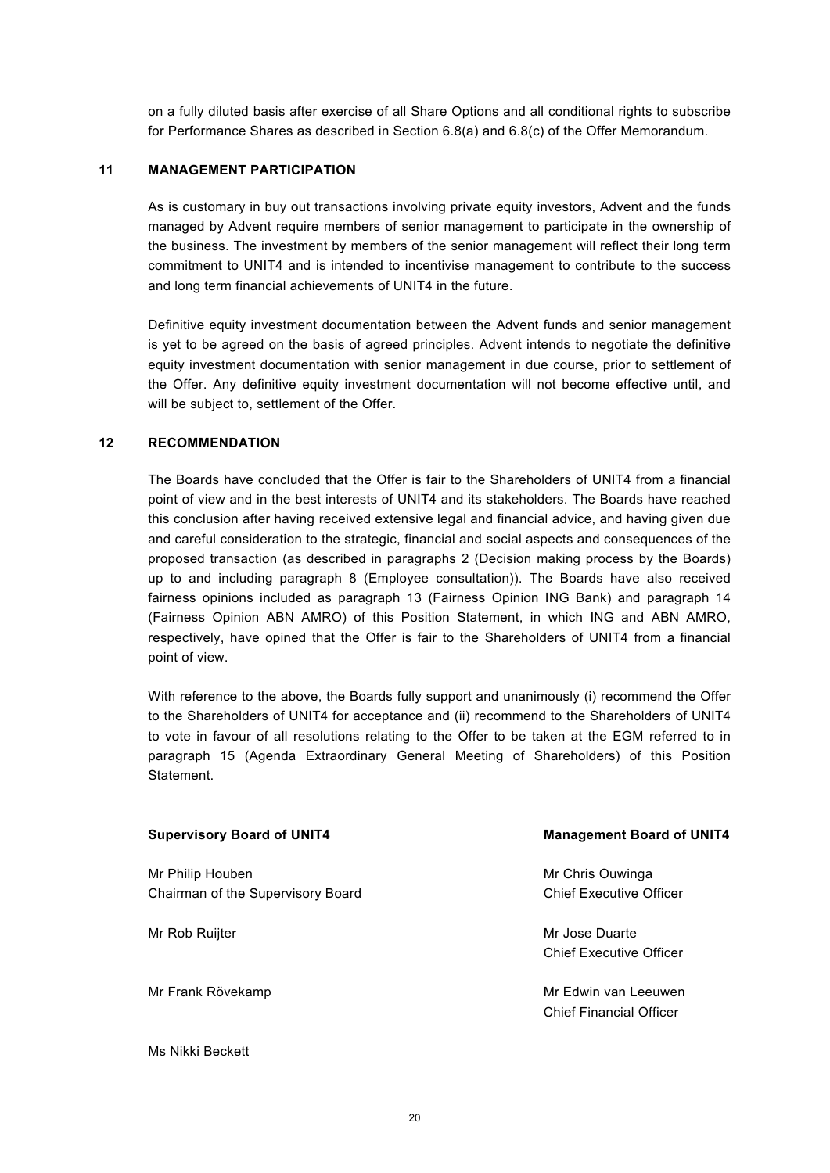on a fully diluted basis after exercise of all Share Options and all conditional rights to subscribe for Performance Shares as described in Section 6.8(a) and 6.8(c) of the Offer Memorandum.

### **11 MANAGEMENT PARTICIPATION**

<span id="page-19-0"></span>As is customary in buy out transactions involving private equity investors, Advent and the funds managed by Advent require members of senior management to participate in the ownership of the business. The investment by members of the senior management will reflect their long term commitment to UNIT4 and is intended to incentivise management to contribute to the success and long term financial achievements of UNIT4 in the future.

Definitive equity investment documentation between the Advent funds and senior management is yet to be agreed on the basis of agreed principles. Advent intends to negotiate the definitive equity investment documentation with senior management in due course, prior to settlement of the Offer. Any definitive equity investment documentation will not become effective until, and will be subject to, settlement of the Offer.

# **12 RECOMMENDATION**

<span id="page-19-1"></span>The Boards have concluded that the Offer is fair to the Shareholders of UNIT4 from a financial point of view and in the best interests of UNIT4 and its stakeholders. The Boards have reached this conclusion after having received extensive legal and financial advice, and having given due and careful consideration to the strategic, financial and social aspects and consequences of the proposed transaction (as described in paragraphs 2 (Decision making process by the Boards) up to and including paragraph 8 (Employee consultation)). The Boards have also received fairness opinions included as paragraph 13 (Fairness Opinion ING Bank) and paragraph 14 (Fairness Opinion ABN AMRO) of this Position Statement, in which ING and ABN AMRO, respectively, have opined that the Offer is fair to the Shareholders of UNIT4 from a financial point of view.

With reference to the above, the Boards fully support and unanimously (i) recommend the Offer to the Shareholders of UNIT4 for acceptance and (ii) recommend to the Shareholders of UNIT4 to vote in favour of all resolutions relating to the Offer to be taken at the EGM referred to in paragraph 15 (Agenda Extraordinary General Meeting of Shareholders) of this Position Statement.

| <b>Supervisory Board of UNIT4</b>                     | <b>Management Board of UNIT4</b>                |  |  |
|-------------------------------------------------------|-------------------------------------------------|--|--|
| Mr Philip Houben<br>Chairman of the Supervisory Board | Mr Chris Ouwinga<br>Chief Executive Officer     |  |  |
| Mr Rob Ruijter                                        | Mr Jose Duarte<br>Chief Executive Officer       |  |  |
| Mr Frank Rövekamp                                     | Mr Fdwin van Leeuwen<br>Chief Financial Officer |  |  |

#### Ms Nikki Beckett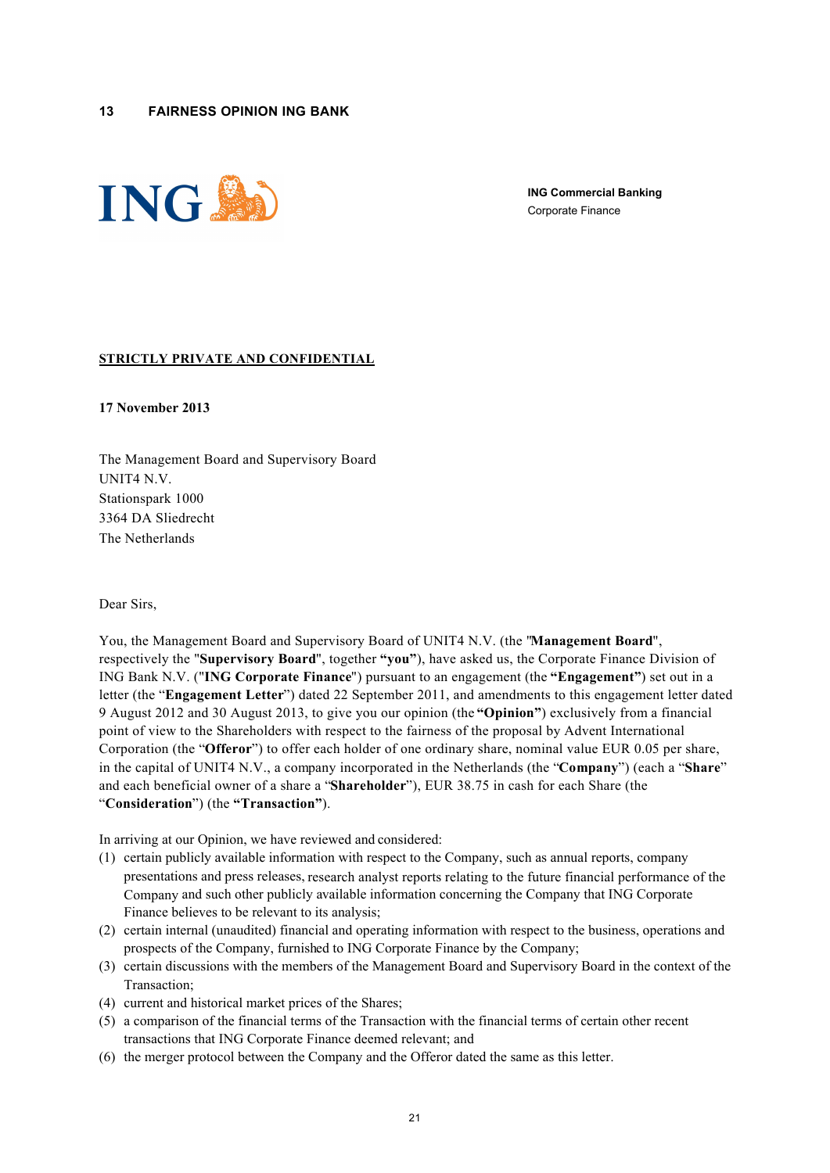<span id="page-20-0"></span>

**ING Commercial Banking** Corporate Finance

#### **STRICTLY PRIVATE AND CONFIDENTIAL**

**17 November 2013**

The Management Board and Supervisory Board UNIT4 N.V. Stationspark 1000 3364 DA Sliedrecht The Netherlands

Dear Sirs,

You, the Management Board and Supervisory Board of UNIT4 N.V. (the "**Management Board**", respectively the "**Supervisory Board**", together **"you"**), have asked us, the Corporate Finance Division of ING Bank N.V. ("**ING Corporate Finance**") pursuant to an engagement (the **"Engagement"**) set out in a letter (the "**Engagement Letter**") dated 22 September 2011, and amendments to this engagement letter dated 9 August 2012 and 30 August 2013, to give you our opinion (the **"Opinion"**) exclusively from a financial point of view to the Shareholders with respect to the fairness of the proposal by Advent International Corporation (the "**Offeror**") to offer each holder of one ordinary share, nominal value EUR 0.05 per share, in the capital of UNIT4 N.V., a company incorporated in the Netherlands (the "**Company**") (each a "**Share**" and each beneficial owner of a share a "**Shareholder**"), EUR 38.75 in cash for each Share (the "**Consideration**") (the **"Transaction"**).

In arriving at our Opinion, we have reviewed and considered:

- (1) certain publicly available information with respect to the Company, such as annual reports, company presentations and press releases, research analyst reports relating to the future financial performance of the Company and such other publicly available information concerning the Company that ING Corporate Finance believes to be relevant to its analysis;
- (2) certain internal (unaudited) financial and operating information with respect to the business, operations and prospects of the Company, furnished to ING Corporate Finance by the Company;
- (3) certain discussions with the members of the Management Board and Supervisory Board in the context of the Transaction;
- (4) current and historical market prices of the Shares;
- (5) a comparison of the financial terms of the Transaction with the financial terms of certain other recent transactions that ING Corporate Finance deemed relevant; and
- (6) the merger protocol between the Company and the Offeror dated the same as this letter.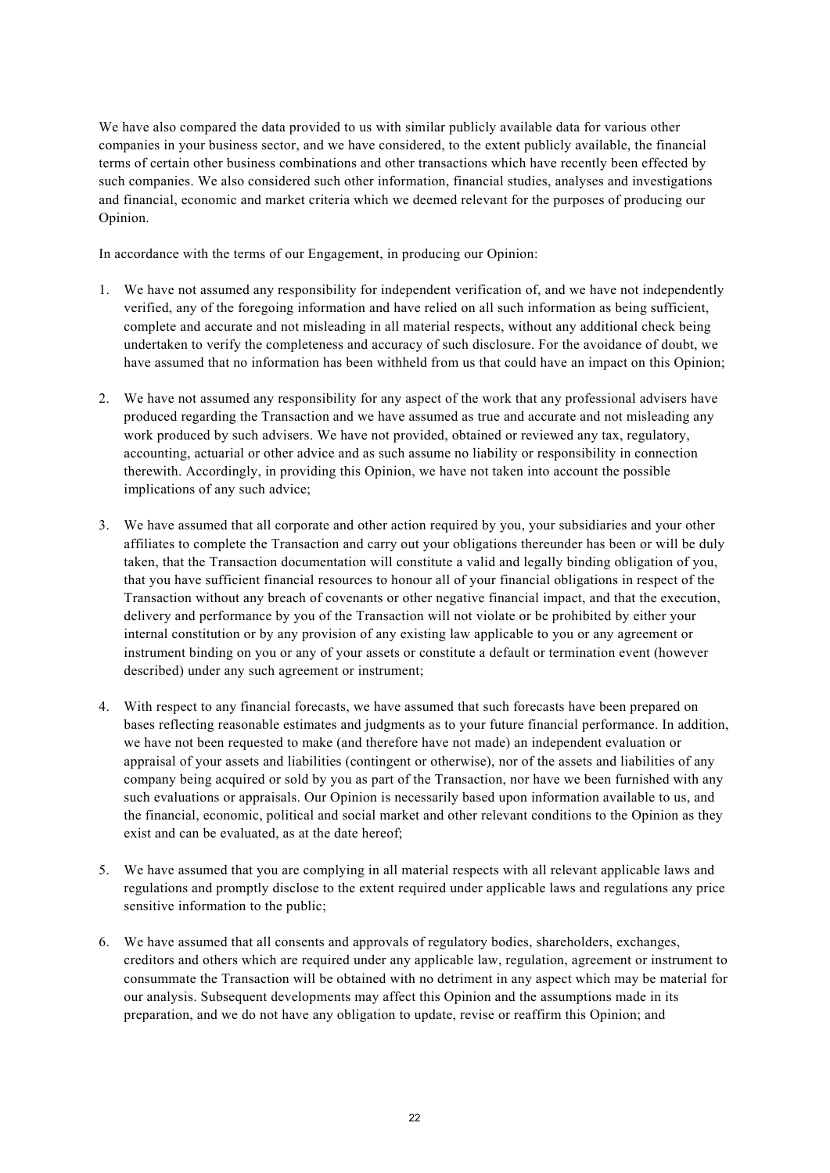We have also compared the data provided to us with similar publicly available data for various other companies in your business sector, and we have considered, to the extent publicly available, the financial terms of certain other business combinations and other transactions which have recently been effected by such companies. We also considered such other information, financial studies, analyses and investigations and financial, economic and market criteria which we deemed relevant for the purposes of producing our Opinion.

In accordance with the terms of our Engagement, in producing our Opinion:

- 1. We have not assumed any responsibility for independent verification of, and we have not independently verified, any of the foregoing information and have relied on all such information as being sufficient, complete and accurate and not misleading in all material respects, without any additional check being undertaken to verify the completeness and accuracy of such disclosure. For the avoidance of doubt, we have assumed that no information has been withheld from us that could have an impact on this Opinion;
- 2. We have not assumed any responsibility for any aspect of the work that any professional advisers have produced regarding the Transaction and we have assumed as true and accurate and not misleading any work produced by such advisers. We have not provided, obtained or reviewed any tax, regulatory, accounting, actuarial or other advice and as such assume no liability or responsibility in connection therewith. Accordingly, in providing this Opinion, we have not taken into account the possible implications of any such advice;
- 3. We have assumed that all corporate and other action required by you, your subsidiaries and your other affiliates to complete the Transaction and carry out your obligations thereunder has been or will be duly taken, that the Transaction documentation will constitute a valid and legally binding obligation of you, that you have sufficient financial resources to honour all of your financial obligations in respect of the Transaction without any breach of covenants or other negative financial impact, and that the execution, delivery and performance by you of the Transaction will not violate or be prohibited by either your internal constitution or by any provision of any existing law applicable to you or any agreement or instrument binding on you or any of your assets or constitute a default or termination event (however described) under any such agreement or instrument;
- 4. With respect to any financial forecasts, we have assumed that such forecasts have been prepared on bases reflecting reasonable estimates and judgments as to your future financial performance. In addition, we have not been requested to make (and therefore have not made) an independent evaluation or appraisal of your assets and liabilities (contingent or otherwise), nor of the assets and liabilities of any company being acquired or sold by you as part of the Transaction, nor have we been furnished with any such evaluations or appraisals. Our Opinion is necessarily based upon information available to us, and the financial, economic, political and social market and other relevant conditions to the Opinion as they exist and can be evaluated, as at the date hereof:
- 5. We have assumed that you are complying in all material respects with all relevant applicable laws and regulations and promptly disclose to the extent required under applicable laws and regulations any price sensitive information to the public;
- 6. We have assumed that all consents and approvals of regulatory bodies, shareholders, exchanges, creditors and others which are required under any applicable law, regulation, agreement or instrument to consummate the Transaction will be obtained with no detriment in any aspect which may be material for our analysis. Subsequent developments may affect this Opinion and the assumptions made in its preparation, and we do not have any obligation to update, revise or reaffirm this Opinion; and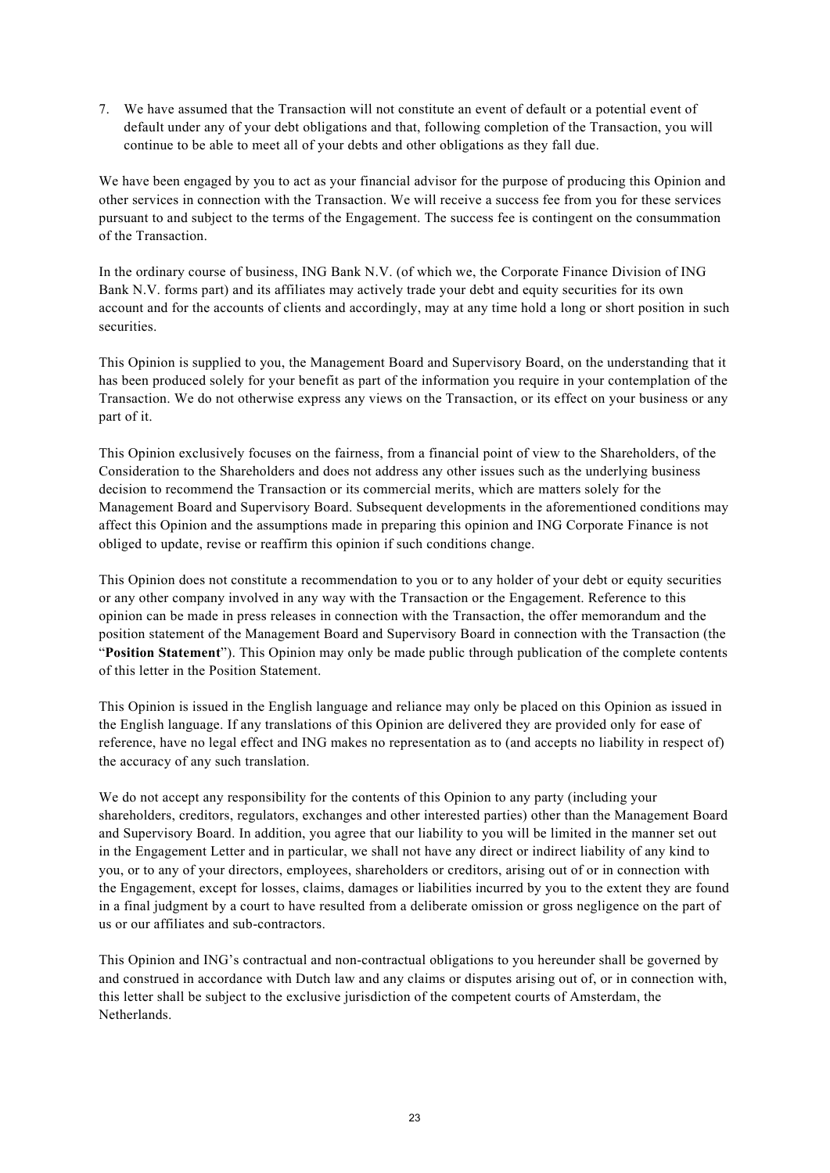7. We have assumed that the Transaction will not constitute an event of default or a potential event of default under any of your debt obligations and that, following completion of the Transaction, you will continue to be able to meet all of your debts and other obligations as they fall due.

We have been engaged by you to act as your financial advisor for the purpose of producing this Opinion and other services in connection with the Transaction. We will receive a success fee from you for these services pursuant to and subject to the terms of the Engagement. The success fee is contingent on the consummation of the Transaction.

In the ordinary course of business, ING Bank N.V. (of which we, the Corporate Finance Division of ING Bank N.V. forms part) and its affiliates may actively trade your debt and equity securities for its own account and for the accounts of clients and accordingly, may at any time hold a long or short position in such securities.

This Opinion is supplied to you, the Management Board and Supervisory Board, on the understanding that it has been produced solely for your benefit as part of the information you require in your contemplation of the Transaction. We do not otherwise express any views on the Transaction, or its effect on your business or any part of it.

This Opinion exclusively focuses on the fairness, from a financial point of view to the Shareholders, of the Consideration to the Shareholders and does not address any other issues such as the underlying business decision to recommend the Transaction or its commercial merits, which are matters solely for the Management Board and Supervisory Board. Subsequent developments in the aforementioned conditions may affect this Opinion and the assumptions made in preparing this opinion and ING Corporate Finance is not obliged to update, revise or reaffirm this opinion if such conditions change.

This Opinion does not constitute a recommendation to you or to any holder of your debt or equity securities or any other company involved in any way with the Transaction or the Engagement. Reference to this opinion can be made in press releases in connection with the Transaction, the offer memorandum and the position statement of the Management Board and Supervisory Board in connection with the Transaction (the "**Position Statement**"). This Opinion may only be made public through publication of the complete contents of this letter in the Position Statement.

This Opinion is issued in the English language and reliance may only be placed on this Opinion as issued in the English language. If any translations of this Opinion are delivered they are provided only for ease of reference, have no legal effect and ING makes no representation as to (and accepts no liability in respect of) the accuracy of any such translation.

We do not accept any responsibility for the contents of this Opinion to any party (including your shareholders, creditors, regulators, exchanges and other interested parties) other than the Management Board and Supervisory Board. In addition, you agree that our liability to you will be limited in the manner set out in the Engagement Letter and in particular, we shall not have any direct or indirect liability of any kind to you, or to any of your directors, employees, shareholders or creditors, arising out of or in connection with the Engagement, except for losses, claims, damages or liabilities incurred by you to the extent they are found in a final judgment by a court to have resulted from a deliberate omission or gross negligence on the part of us or our affiliates and sub-contractors.

This Opinion and ING's contractual and non-contractual obligations to you hereunder shall be governed by and construed in accordance with Dutch law and any claims or disputes arising out of, or in connection with, this letter shall be subject to the exclusive jurisdiction of the competent courts of Amsterdam, the Netherlands.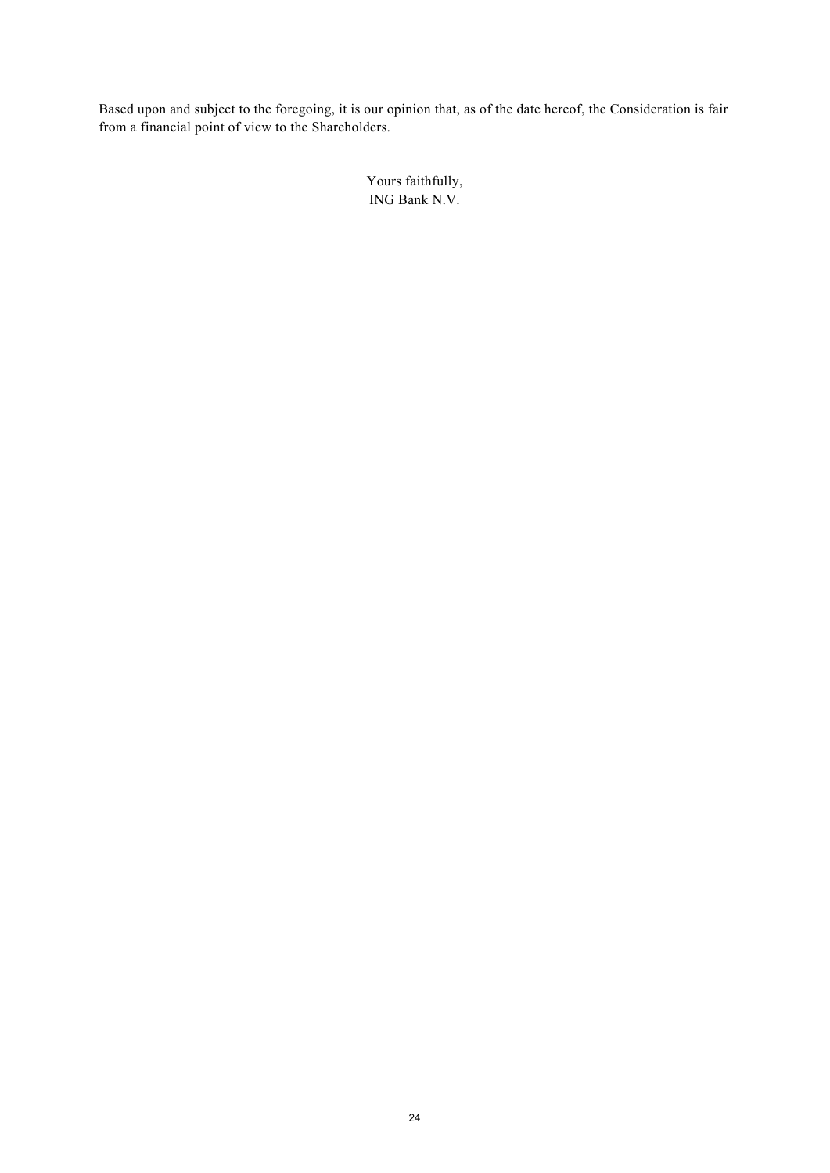Based upon and subject to the foregoing, it is our opinion that, as of the date hereof, the Consideration is fair from a financial point of view to the Shareholders.

> Yours faithfully, ING Bank N.V.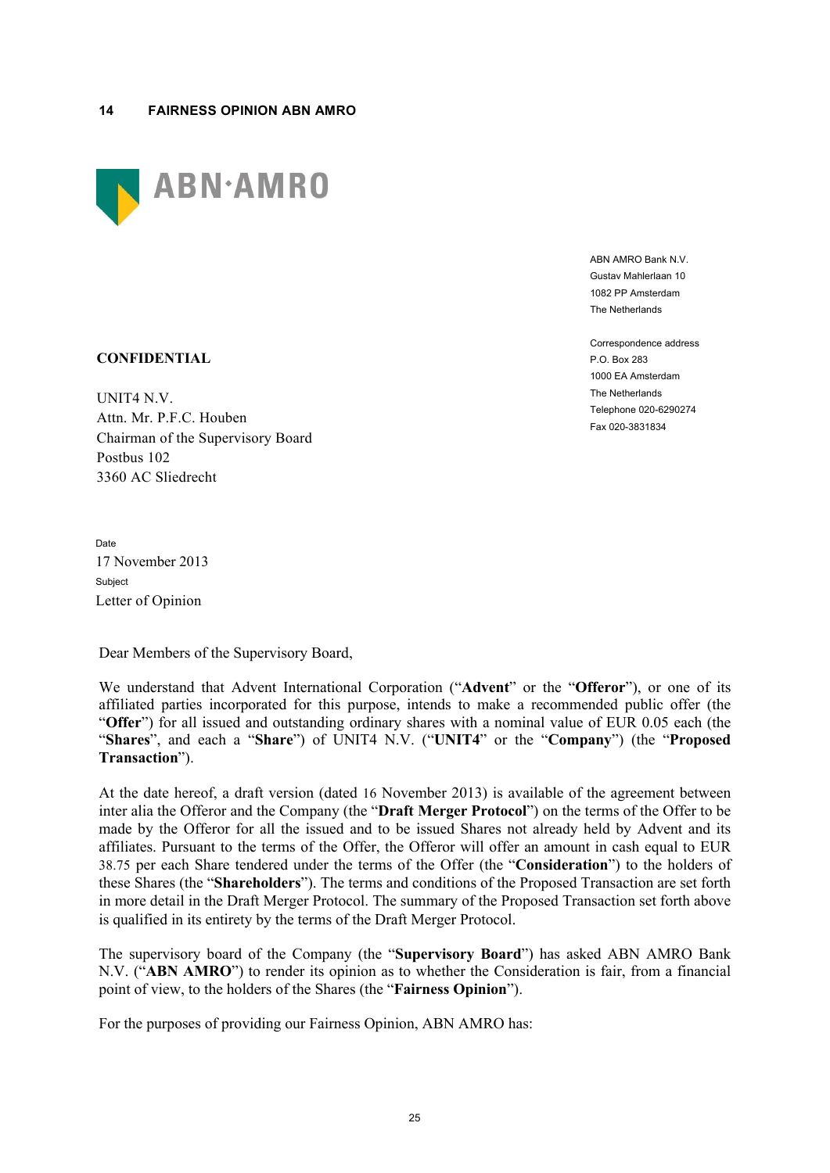<span id="page-24-0"></span>

ABN AMRO Bank N.V. Gustav Mahlerlaan 10 1082 PP Amsterdam The Netherlands

Correspondence address P.O. Box 283 1000 EA Amsterdam The Netherlands Telephone 020-6290274 Fax 020-3831834

# **CONFIDENTIAL**

UNIT4 N.V. Attn. Mr. P.F.C. Houben Chairman of the Supervisory Board Postbus 102 3360 AC Sliedrecht

Date 17 November 2013 Subject Letter of Opinion

Dear Members of the Supervisory Board,

We understand that Advent International Corporation ("**Advent**" or the "**Offeror**"), or one of its affiliated parties incorporated for this purpose, intends to make a recommended public offer (the "**Offer**") for all issued and outstanding ordinary shares with a nominal value of EUR 0.05 each (the "**Shares**", and each a "**Share**") of UNIT4 N.V. ("**UNIT4**" or the "**Company**") (the "**Proposed Transaction**").

At the date hereof, a draft version (dated 16 November 2013) is available of the agreement between inter alia the Offeror and the Company (the "**Draft Merger Protocol**") on the terms of the Offer to be made by the Offeror for all the issued and to be issued Shares not already held by Advent and its affiliates. Pursuant to the terms of the Offer, the Offeror will offer an amount in cash equal to EUR 38.75 per each Share tendered under the terms of the Offer (the "**Consideration**") to the holders of these Shares (the "**Shareholders**"). The terms and conditions of the Proposed Transaction are set forth in more detail in the Draft Merger Protocol. The summary of the Proposed Transaction set forth above is qualified in its entirety by the terms of the Draft Merger Protocol.

The supervisory board of the Company (the "**Supervisory Board**") has asked ABN AMRO Bank N.V. ("**ABN AMRO**") to render its opinion as to whether the Consideration is fair, from a financial point of view, to the holders of the Shares (the "**Fairness Opinion**").

For the purposes of providing our Fairness Opinion, ABN AMRO has: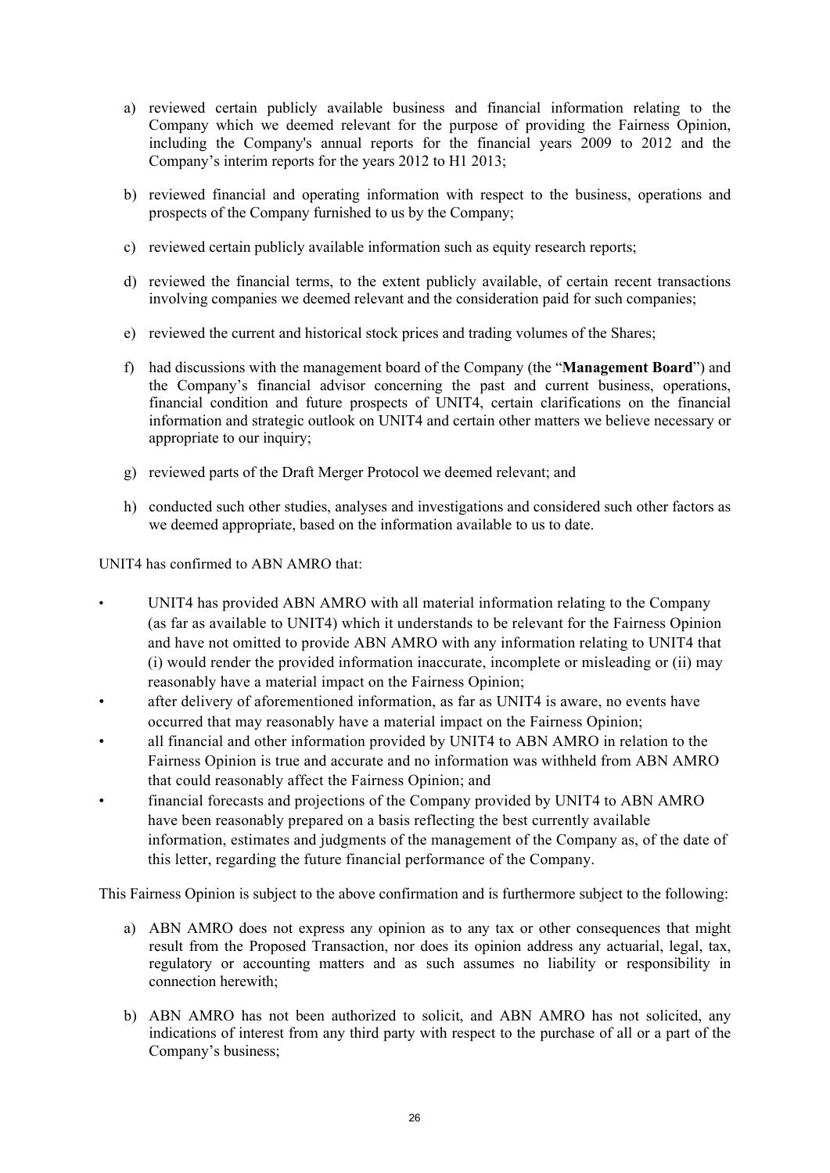- a) reviewed certain publicly available business and financial information relating to the Company which we deemed relevant for the purpose of providing the Fairness Opinion, including the Company's annual reports for the financial years 2009 to 2012 and the Company's interim reports for the years 2012 to H1 2013;
- b) reviewed financial and operating information with respect to the business, operations and prospects of the Company furnished to us by the Company;
- c) reviewed certain publicly available information such as equity research reports;
- d) reviewed the financial terms, to the extent publicly available, of certain recent transactions involving companies we deemed relevant and the consideration paid for such companies;
- e) reviewed the current and historical stock prices and trading volumes of the Shares;
- f) had discussions with the management board of the Company (the "**Management Board**") and the Company's financial advisor concerning the past and current business, operations, financial condition and future prospects of UNIT4, certain clarifications on the financial information and strategic outlook on UNIT4 and certain other matters we believe necessary or appropriate to our inquiry;
- g) reviewed parts of the Draft Merger Protocol we deemed relevant; and
- h) conducted such other studies, analyses and investigations and considered such other factors as we deemed appropriate, based on the information available to us to date.

UNIT4 has confirmed to ABN AMRO that:

- UNIT4 has provided ABN AMRO with all material information relating to the Company (as far as available to UNIT4) which it understands to be relevant for the Fairness Opinion and have not omitted to provide ABN AMRO with any information relating to UNIT4 that (i) would render the provided information inaccurate, incomplete or misleading or (ii) may reasonably have a material impact on the Fairness Opinion;
- after delivery of aforementioned information, as far as UNIT4 is aware, no events have occurred that may reasonably have a material impact on the Fairness Opinion;
- all financial and other information provided by UNIT4 to ABN AMRO in relation to the Fairness Opinion is true and accurate and no information was withheld from ABN AMRO that could reasonably affect the Fairness Opinion; and
- financial forecasts and projections of the Company provided by UNIT4 to ABN AMRO have been reasonably prepared on a basis reflecting the best currently available information, estimates and judgments of the management of the Company as, of the date of this letter, regarding the future financial performance of the Company.

This Fairness Opinion is subject to the above confirmation and is furthermore subject to the following:

- a) ABN AMRO does not express any opinion as to any tax or other consequences that might result from the Proposed Transaction, nor does its opinion address any actuarial, legal, tax, regulatory or accounting matters and as such assumes no liability or responsibility in connection herewith;
- b) ABN AMRO has not been authorized to solicit, and ABN AMRO has not solicited, any indications of interest from any third party with respect to the purchase of all or a part of the Company's business;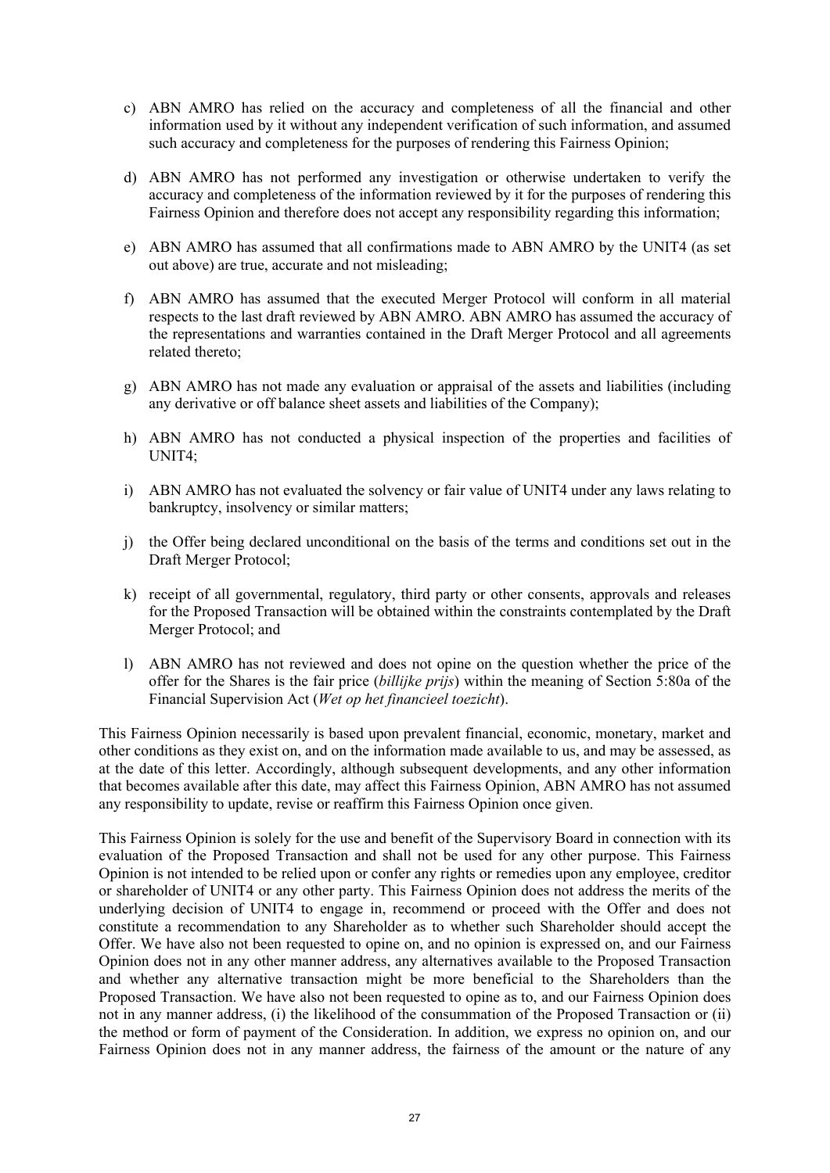- c) ABN AMRO has relied on the accuracy and completeness of all the financial and other information used by it without any independent verification of such information, and assumed such accuracy and completeness for the purposes of rendering this Fairness Opinion;
- d) ABN AMRO has not performed any investigation or otherwise undertaken to verify the accuracy and completeness of the information reviewed by it for the purposes of rendering this Fairness Opinion and therefore does not accept any responsibility regarding this information;
- e) ABN AMRO has assumed that all confirmations made to ABN AMRO by the UNIT4 (as set out above) are true, accurate and not misleading;
- f) ABN AMRO has assumed that the executed Merger Protocol will conform in all material respects to the last draft reviewed by ABN AMRO. ABN AMRO has assumed the accuracy of the representations and warranties contained in the Draft Merger Protocol and all agreements related thereto;
- g) ABN AMRO has not made any evaluation or appraisal of the assets and liabilities (including any derivative or off balance sheet assets and liabilities of the Company);
- h) ABN AMRO has not conducted a physical inspection of the properties and facilities of UNIT4;
- i) ABN AMRO has not evaluated the solvency or fair value of UNIT4 under any laws relating to bankruptcy, insolvency or similar matters;
- j) the Offer being declared unconditional on the basis of the terms and conditions set out in the Draft Merger Protocol;
- k) receipt of all governmental, regulatory, third party or other consents, approvals and releases for the Proposed Transaction will be obtained within the constraints contemplated by the Draft Merger Protocol; and
- l) ABN AMRO has not reviewed and does not opine on the question whether the price of the offer for the Shares is the fair price (*billijke prijs*) within the meaning of Section 5:80a of the Financial Supervision Act (*Wet op het financieel toezicht*).

This Fairness Opinion necessarily is based upon prevalent financial, economic, monetary, market and other conditions as they exist on, and on the information made available to us, and may be assessed, as at the date of this letter. Accordingly, although subsequent developments, and any other information that becomes available after this date, may affect this Fairness Opinion, ABN AMRO has not assumed any responsibility to update, revise or reaffirm this Fairness Opinion once given.

This Fairness Opinion is solely for the use and benefit of the Supervisory Board in connection with its evaluation of the Proposed Transaction and shall not be used for any other purpose. This Fairness Opinion is not intended to be relied upon or confer any rights or remedies upon any employee, creditor or shareholder of UNIT4 or any other party. This Fairness Opinion does not address the merits of the underlying decision of UNIT4 to engage in, recommend or proceed with the Offer and does not constitute a recommendation to any Shareholder as to whether such Shareholder should accept the Offer. We have also not been requested to opine on, and no opinion is expressed on, and our Fairness Opinion does not in any other manner address, any alternatives available to the Proposed Transaction and whether any alternative transaction might be more beneficial to the Shareholders than the Proposed Transaction. We have also not been requested to opine as to, and our Fairness Opinion does not in any manner address, (i) the likelihood of the consummation of the Proposed Transaction or (ii) the method or form of payment of the Consideration. In addition, we express no opinion on, and our Fairness Opinion does not in any manner address, the fairness of the amount or the nature of any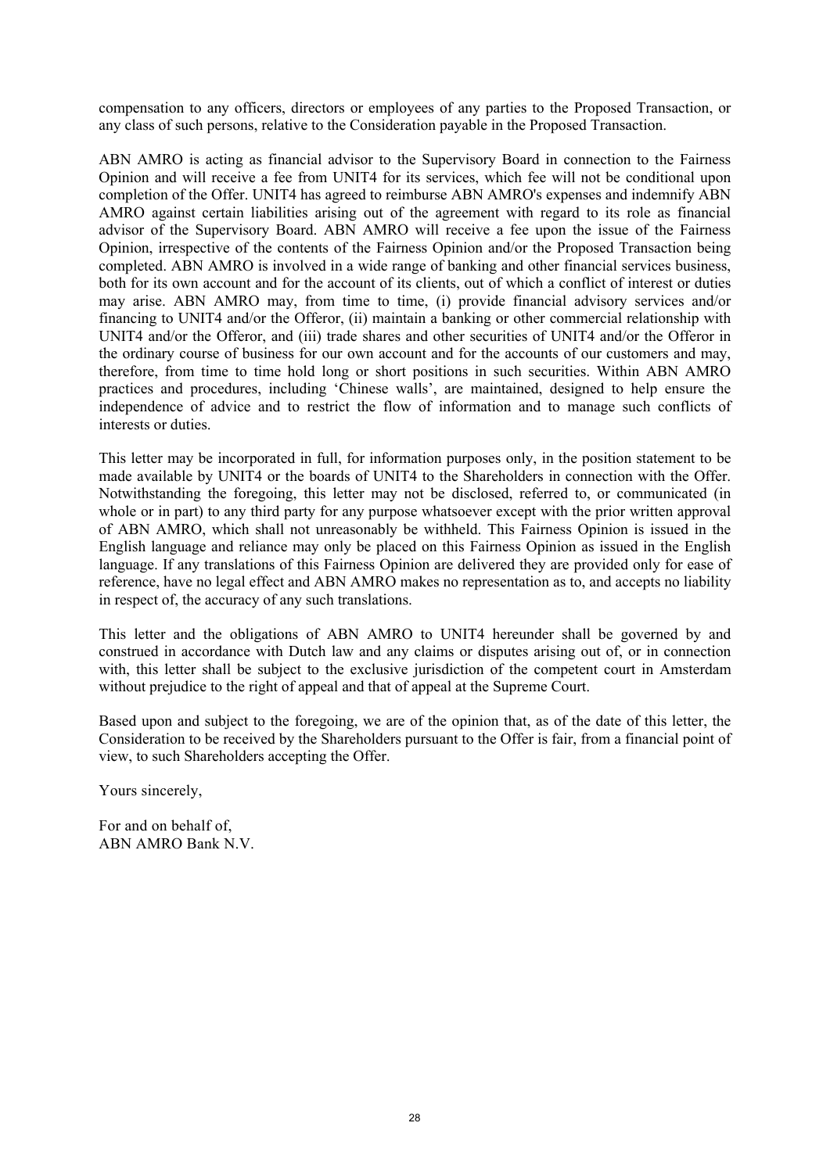compensation to any officers, directors or employees of any parties to the Proposed Transaction, or any class of such persons, relative to the Consideration payable in the Proposed Transaction.

ABN AMRO is acting as financial advisor to the Supervisory Board in connection to the Fairness Opinion and will receive a fee from UNIT4 for its services, which fee will not be conditional upon completion of the Offer. UNIT4 has agreed to reimburse ABN AMRO's expenses and indemnify ABN AMRO against certain liabilities arising out of the agreement with regard to its role as financial advisor of the Supervisory Board. ABN AMRO will receive a fee upon the issue of the Fairness Opinion, irrespective of the contents of the Fairness Opinion and/or the Proposed Transaction being completed. ABN AMRO is involved in a wide range of banking and other financial services business, both for its own account and for the account of its clients, out of which a conflict of interest or duties may arise. ABN AMRO may, from time to time, (i) provide financial advisory services and/or financing to UNIT4 and/or the Offeror, (ii) maintain a banking or other commercial relationship with UNIT4 and/or the Offeror, and (iii) trade shares and other securities of UNIT4 and/or the Offeror in the ordinary course of business for our own account and for the accounts of our customers and may, therefore, from time to time hold long or short positions in such securities. Within ABN AMRO practices and procedures, including 'Chinese walls', are maintained, designed to help ensure the independence of advice and to restrict the flow of information and to manage such conflicts of interests or duties.

This letter may be incorporated in full, for information purposes only, in the position statement to be made available by UNIT4 or the boards of UNIT4 to the Shareholders in connection with the Offer. Notwithstanding the foregoing, this letter may not be disclosed, referred to, or communicated (in whole or in part) to any third party for any purpose whatsoever except with the prior written approval of ABN AMRO, which shall not unreasonably be withheld. This Fairness Opinion is issued in the English language and reliance may only be placed on this Fairness Opinion as issued in the English language. If any translations of this Fairness Opinion are delivered they are provided only for ease of reference, have no legal effect and ABN AMRO makes no representation as to, and accepts no liability in respect of, the accuracy of any such translations.

This letter and the obligations of ABN AMRO to UNIT4 hereunder shall be governed by and construed in accordance with Dutch law and any claims or disputes arising out of, or in connection with, this letter shall be subject to the exclusive jurisdiction of the competent court in Amsterdam without prejudice to the right of appeal and that of appeal at the Supreme Court.

Based upon and subject to the foregoing, we are of the opinion that, as of the date of this letter, the Consideration to be received by the Shareholders pursuant to the Offer is fair, from a financial point of view, to such Shareholders accepting the Offer.

Yours sincerely,

For and on behalf of, ABN AMRO Bank N.V.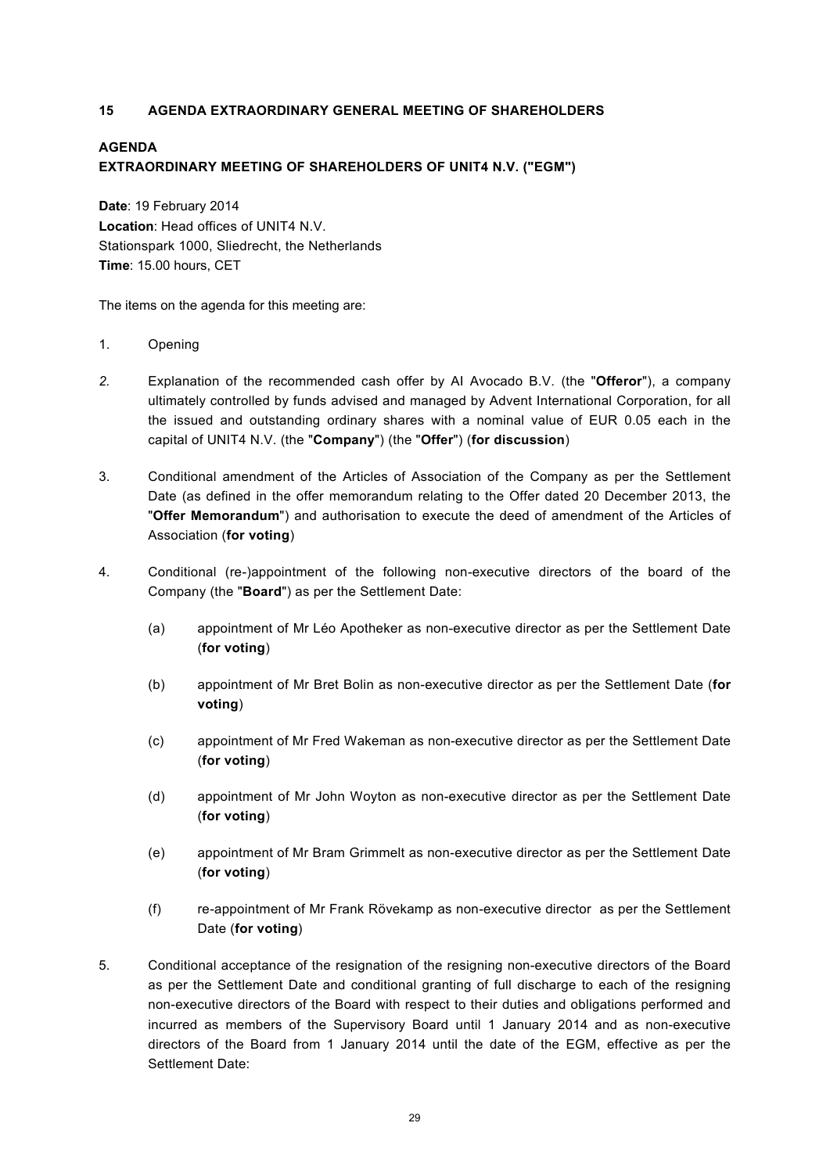# <span id="page-28-0"></span>**15 AGENDA EXTRAORDINARY GENERAL MEETING OF SHAREHOLDERS**

# **AGENDA EXTRAORDINARY MEETING OF SHAREHOLDERS OF UNIT4 N.V. ("EGM")**

**Date**: 19 February 2014 **Location**: Head offices of UNIT4 N.V. Stationspark 1000, Sliedrecht, the Netherlands **Time**: 15.00 hours, CET

The items on the agenda for this meeting are:

- 1. Opening
- *2.* Explanation of the recommended cash offer by AI Avocado B.V. (the "**Offeror**"), a company ultimately controlled by funds advised and managed by Advent International Corporation, for all the issued and outstanding ordinary shares with a nominal value of EUR 0.05 each in the capital of UNIT4 N.V. (the "**Company**") (the "**Offer**") (**for discussion**)
- 3. Conditional amendment of the Articles of Association of the Company as per the Settlement Date (as defined in the offer memorandum relating to the Offer dated 20 December 2013, the "**Offer Memorandum**") and authorisation to execute the deed of amendment of the Articles of Association (**for voting**)
- 4. Conditional (re-)appointment of the following non-executive directors of the board of the Company (the "**Board**") as per the Settlement Date:
	- (a) appointment of Mr Léo Apotheker as non-executive director as per the Settlement Date (**for voting**)
	- (b) appointment of Mr Bret Bolin as non-executive director as per the Settlement Date (**for voting**)
	- (c) appointment of Mr Fred Wakeman as non-executive director as per the Settlement Date (**for voting**)
	- (d) appointment of Mr John Woyton as non-executive director as per the Settlement Date (**for voting**)
	- (e) appointment of Mr Bram Grimmelt as non-executive director as per the Settlement Date (**for voting**)
	- (f) re-appointment of Mr Frank Rövekamp as non-executive director as per the Settlement Date (**for voting**)
- 5. Conditional acceptance of the resignation of the resigning non-executive directors of the Board as per the Settlement Date and conditional granting of full discharge to each of the resigning non-executive directors of the Board with respect to their duties and obligations performed and incurred as members of the Supervisory Board until 1 January 2014 and as non-executive directors of the Board from 1 January 2014 until the date of the EGM, effective as per the Settlement Date: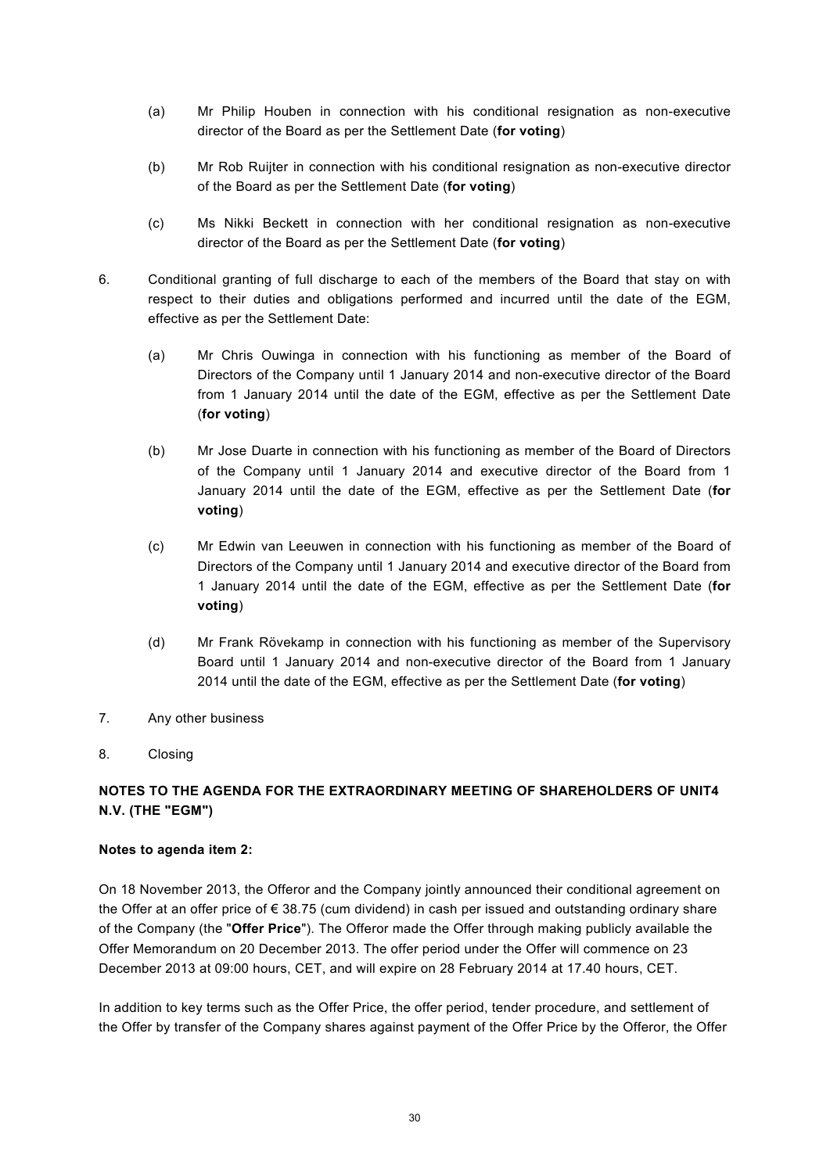- (a) Mr Philip Houben in connection with his conditional resignation as non-executive director of the Board as per the Settlement Date (**for voting**)
- (b) Mr Rob Ruijter in connection with his conditional resignation as non-executive director of the Board as per the Settlement Date (**for voting**)
- (c) Ms Nikki Beckett in connection with her conditional resignation as non-executive director of the Board as per the Settlement Date (**for voting**)
- 6. Conditional granting of full discharge to each of the members of the Board that stay on with respect to their duties and obligations performed and incurred until the date of the EGM, effective as per the Settlement Date:
	- (a) Mr Chris Ouwinga in connection with his functioning as member of the Board of Directors of the Company until 1 January 2014 and non-executive director of the Board from 1 January 2014 until the date of the EGM, effective as per the Settlement Date (**for voting**)
	- (b) Mr Jose Duarte in connection with his functioning as member of the Board of Directors of the Company until 1 January 2014 and executive director of the Board from 1 January 2014 until the date of the EGM, effective as per the Settlement Date (**for voting**)
	- (c) Mr Edwin van Leeuwen in connection with his functioning as member of the Board of Directors of the Company until 1 January 2014 and executive director of the Board from 1 January 2014 until the date of the EGM, effective as per the Settlement Date (**for voting**)
	- (d) Mr Frank Rövekamp in connection with his functioning as member of the Supervisory Board until 1 January 2014 and non-executive director of the Board from 1 January 2014 until the date of the EGM, effective as per the Settlement Date (**for voting**)
- 7. Any other business
- 8. Closing

# **NOTES TO THE AGENDA FOR THE EXTRAORDINARY MEETING OF SHAREHOLDERS OF UNIT4 N.V. (THE "EGM")**

# **Notes to agenda item 2:**

On 18 November 2013, the Offeror and the Company jointly announced their conditional agreement on the Offer at an offer price of € 38.75 (cum dividend) in cash per issued and outstanding ordinary share of the Company (the "**Offer Price**"). The Offeror made the Offer through making publicly available the Offer Memorandum on 20 December 2013. The offer period under the Offer will commence on 23 December 2013 at 09:00 hours, CET, and will expire on 28 February 2014 at 17.40 hours, CET.

In addition to key terms such as the Offer Price, the offer period, tender procedure, and settlement of the Offer by transfer of the Company shares against payment of the Offer Price by the Offeror, the Offer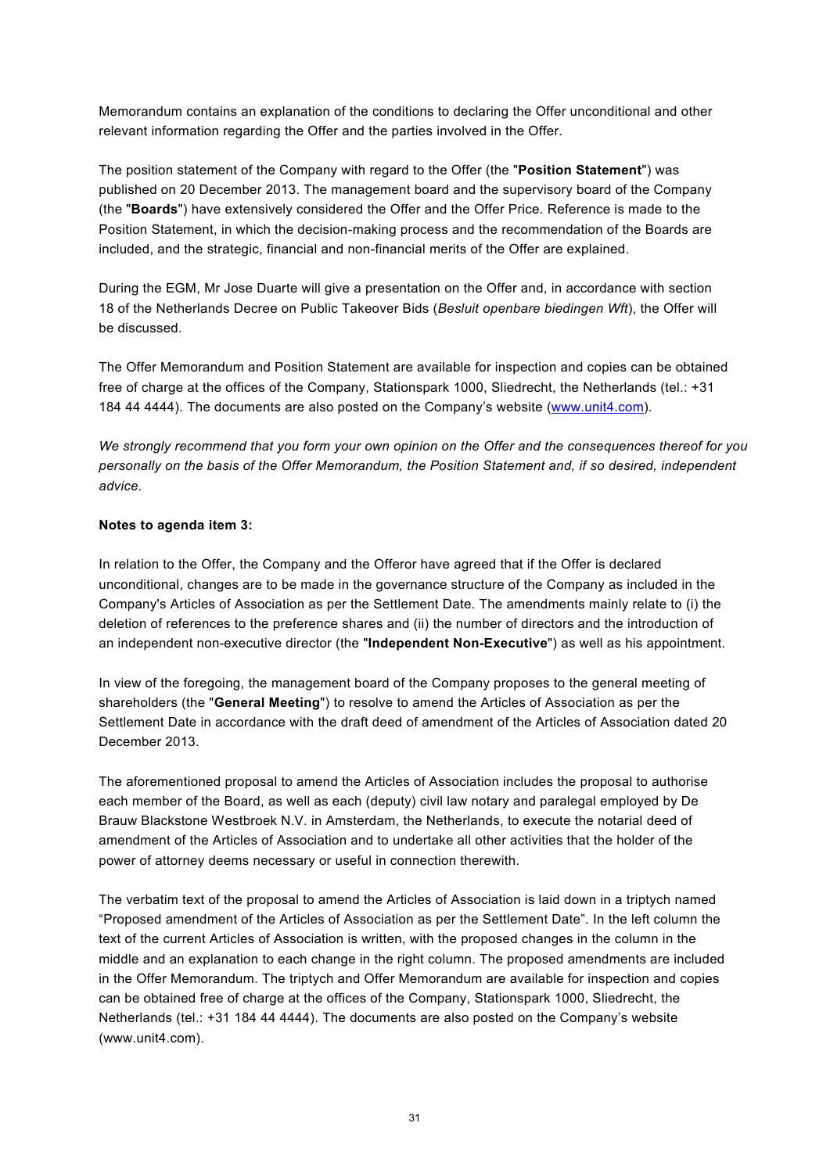Memorandum contains an explanation of the conditions to declaring the Offer unconditional and other relevant information regarding the Offer and the parties involved in the Offer.

The position statement of the Company with regard to the Offer (the "**Position Statement**") was published on 20 December 2013. The management board and the supervisory board of the Company (the "**Boards**") have extensively considered the Offer and the Offer Price. Reference is made to the Position Statement, in which the decision-making process and the recommendation of the Boards are included, and the strategic, financial and non-financial merits of the Offer are explained.

During the EGM, Mr Jose Duarte will give a presentation on the Offer and, in accordance with section 18 of the Netherlands Decree on Public Takeover Bids (*Besluit openbare biedingen Wft*), the Offer will be discussed.

The Offer Memorandum and Position Statement are available for inspection and copies can be obtained free of charge at the offices of the Company, Stationspark 1000, Sliedrecht, the Netherlands (tel.: +31 184 44 4444). The documents are also posted on the Company's website [\(www.unit4.com](http://www.unit4.com/)).

*We strongly recommend that you form your own opinion on the Offer and the consequences thereof for you personally on the basis of the Offer Memorandum, the Position Statement and, if so desired, independent advice.*

# **Notes to agenda item 3:**

In relation to the Offer, the Company and the Offeror have agreed that if the Offer is declared unconditional, changes are to be made in the governance structure of the Company as included in the Company's Articles of Association as per the Settlement Date. The amendments mainly relate to (i) the deletion of references to the preference shares and (ii) the number of directors and the introduction of an independent non-executive director (the "**Independent Non-Executive**") as well as his appointment.

In view of the foregoing, the management board of the Company proposes to the general meeting of shareholders (the "**General Meeting**") to resolve to amend the Articles of Association as per the Settlement Date in accordance with the draft deed of amendment of the Articles of Association dated 20 December 2013.

The aforementioned proposal to amend the Articles of Association includes the proposal to authorise each member of the Board, as well as each (deputy) civil law notary and paralegal employed by De Brauw Blackstone Westbroek N.V. in Amsterdam, the Netherlands, to execute the notarial deed of amendment of the Articles of Association and to undertake all other activities that the holder of the power of attorney deems necessary or useful in connection therewith.

The verbatim text of the proposal to amend the Articles of Association is laid down in a triptych named "Proposed amendment of the Articles of Association as per the Settlement Date". In the left column the text of the current Articles of Association is written, with the proposed changes in the column in the middle and an explanation to each change in the right column. The proposed amendments are included in the Offer Memorandum. The triptych and Offer Memorandum are available for inspection and copies can be obtained free of charge at the offices of the Company, Stationspark 1000, Sliedrecht, the Netherlands (tel.: +31 184 44 4444). The documents are also posted on the Company's website (www.unit4.com).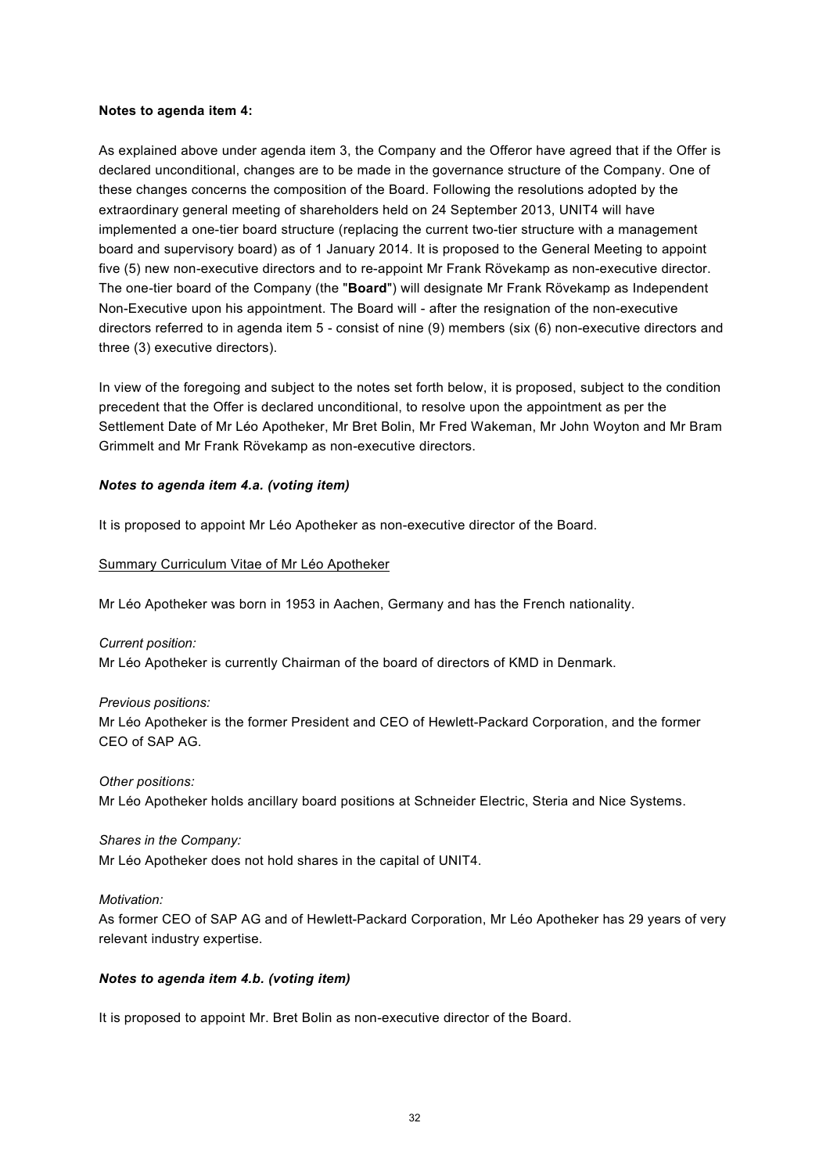#### **Notes to agenda item 4:**

As explained above under agenda item 3, the Company and the Offeror have agreed that if the Offer is declared unconditional, changes are to be made in the governance structure of the Company. One of these changes concerns the composition of the Board. Following the resolutions adopted by the extraordinary general meeting of shareholders held on 24 September 2013, UNIT4 will have implemented a one-tier board structure (replacing the current two-tier structure with a management board and supervisory board) as of 1 January 2014. It is proposed to the General Meeting to appoint five (5) new non-executive directors and to re-appoint Mr Frank Rövekamp as non-executive director. The one-tier board of the Company (the "**Board**") will designate Mr Frank Rövekamp as Independent Non-Executive upon his appointment. The Board will - after the resignation of the non-executive directors referred to in agenda item 5 - consist of nine (9) members (six (6) non-executive directors and three (3) executive directors).

In view of the foregoing and subject to the notes set forth below, it is proposed, subject to the condition precedent that the Offer is declared unconditional, to resolve upon the appointment as per the Settlement Date of Mr Léo Apotheker, Mr Bret Bolin, Mr Fred Wakeman, Mr John Woyton and Mr Bram Grimmelt and Mr Frank Rövekamp as non-executive directors.

### *Notes to agenda item 4.a. (voting item)*

It is proposed to appoint Mr Léo Apotheker as non-executive director of the Board.

### Summary Curriculum Vitae of Mr Léo Apotheker

Mr Léo Apotheker was born in 1953 in Aachen, Germany and has the French nationality.

### *Current position:*

Mr Léo Apotheker is currently Chairman of the board of directors of KMD in Denmark.

# *Previous positions:*  Mr Léo Apotheker is the former President and CEO of Hewlett-Packard Corporation, and the former CEO of SAP AG.

*Other positions:* Mr Léo Apotheker holds ancillary board positions at Schneider Electric, Steria and Nice Systems.

# *Shares in the Company:*  Mr Léo Apotheker does not hold shares in the capital of UNIT4.

### *Motivation:*

As former CEO of SAP AG and of Hewlett-Packard Corporation, Mr Léo Apotheker has 29 years of very relevant industry expertise.

### *Notes to agenda item 4.b. (voting item)*

It is proposed to appoint Mr. Bret Bolin as non-executive director of the Board.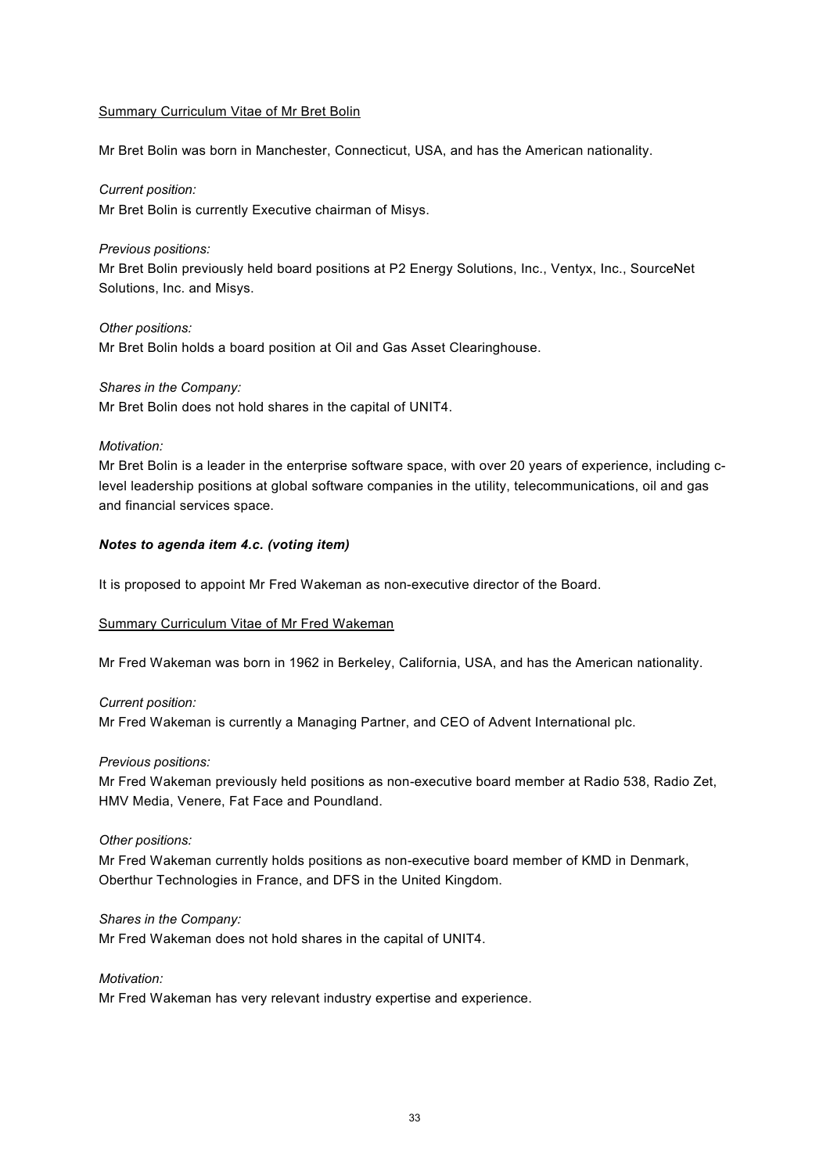### Summary Curriculum Vitae of Mr Bret Bolin

Mr Bret Bolin was born in Manchester, Connecticut, USA, and has the American nationality.

### *Current position:*

Mr Bret Bolin is currently Executive chairman of Misys.

### *Previous positions:*

Mr Bret Bolin previously held board positions at P2 Energy Solutions, Inc., Ventyx, Inc., SourceNet Solutions, Inc. and Misys.

### *Other positions:*

Mr Bret Bolin holds a board position at Oil and Gas Asset Clearinghouse.

# *Shares in the Company:*

Mr Bret Bolin does not hold shares in the capital of UNIT4.

# *Motivation:*

Mr Bret Bolin is a leader in the enterprise software space, with over 20 years of experience, including clevel leadership positions at global software companies in the utility, telecommunications, oil and gas and financial services space.

# *Notes to agenda item 4.c. (voting item)*

It is proposed to appoint Mr Fred Wakeman as non-executive director of the Board.

### Summary Curriculum Vitae of Mr Fred Wakeman

Mr Fred Wakeman was born in 1962 in Berkeley, California, USA, and has the American nationality.

# *Current position:*  Mr Fred Wakeman is currently a Managing Partner, and CEO of Advent International plc.

### *Previous positions:*

Mr Fred Wakeman previously held positions as non-executive board member at Radio 538, Radio Zet, HMV Media, Venere, Fat Face and Poundland.

### *Other positions:*

Mr Fred Wakeman currently holds positions as non-executive board member of KMD in Denmark, Oberthur Technologies in France, and DFS in the United Kingdom.

### *Shares in the Company:*

Mr Fred Wakeman does not hold shares in the capital of UNIT4.

# *Motivation:*

Mr Fred Wakeman has very relevant industry expertise and experience.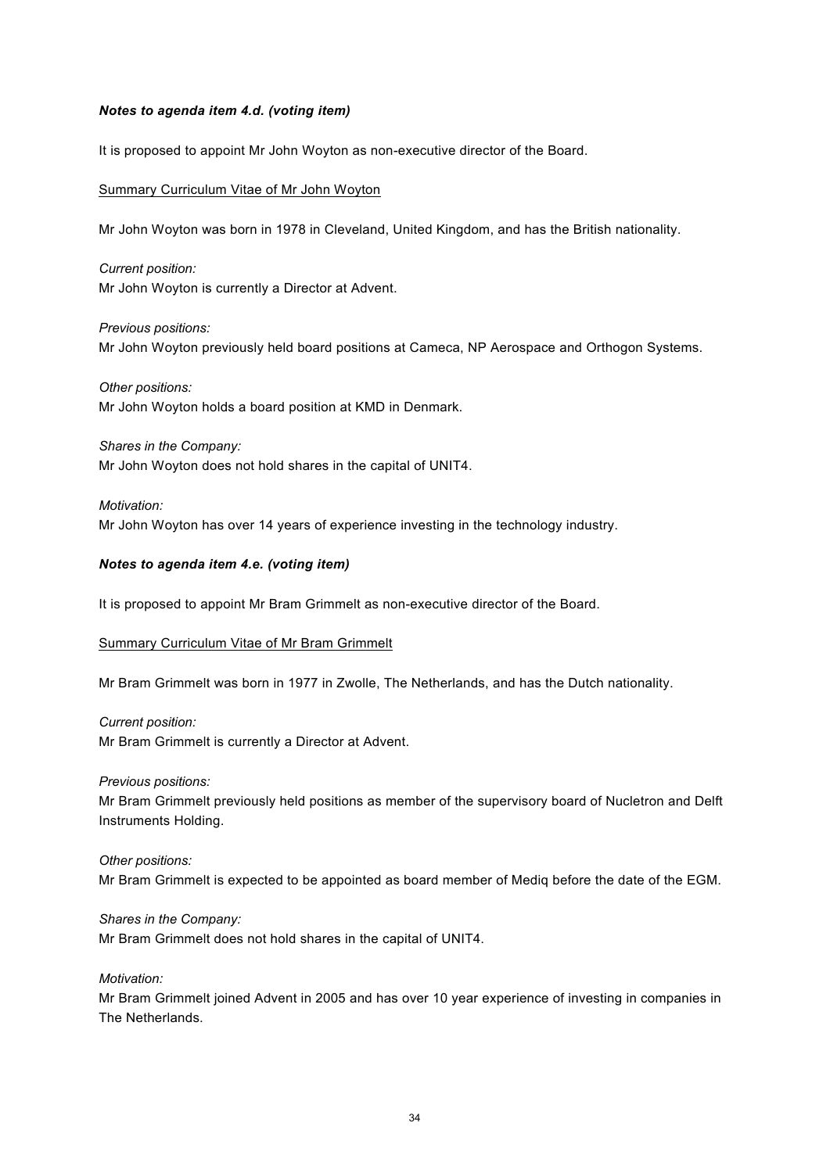# *Notes to agenda item 4.d. (voting item)*

It is proposed to appoint Mr John Woyton as non-executive director of the Board.

# Summary Curriculum Vitae of Mr John Woyton

Mr John Woyton was born in 1978 in Cleveland, United Kingdom, and has the British nationality.

*Current position:*  Mr John Woyton is currently a Director at Advent.

*Previous positions:*  Mr John Woyton previously held board positions at Cameca, NP Aerospace and Orthogon Systems.

### *Other positions:*

Mr John Woyton holds a board position at KMD in Denmark.

### *Shares in the Company:*

Mr John Woyton does not hold shares in the capital of UNIT4.

#### *Motivation:*

Mr John Woyton has over 14 years of experience investing in the technology industry.

# *Notes to agenda item 4.e. (voting item)*

It is proposed to appoint Mr Bram Grimmelt as non-executive director of the Board.

### Summary Curriculum Vitae of Mr Bram Grimmelt

Mr Bram Grimmelt was born in 1977 in Zwolle, The Netherlands, and has the Dutch nationality.

### *Current position:*

Mr Bram Grimmelt is currently a Director at Advent.

### *Previous positions:*

Mr Bram Grimmelt previously held positions as member of the supervisory board of Nucletron and Delft Instruments Holding.

### *Other positions:*

Mr Bram Grimmelt is expected to be appointed as board member of Mediq before the date of the EGM.

### *Shares in the Company:*

Mr Bram Grimmelt does not hold shares in the capital of UNIT4.

### *Motivation:*

Mr Bram Grimmelt joined Advent in 2005 and has over 10 year experience of investing in companies in The Netherlands.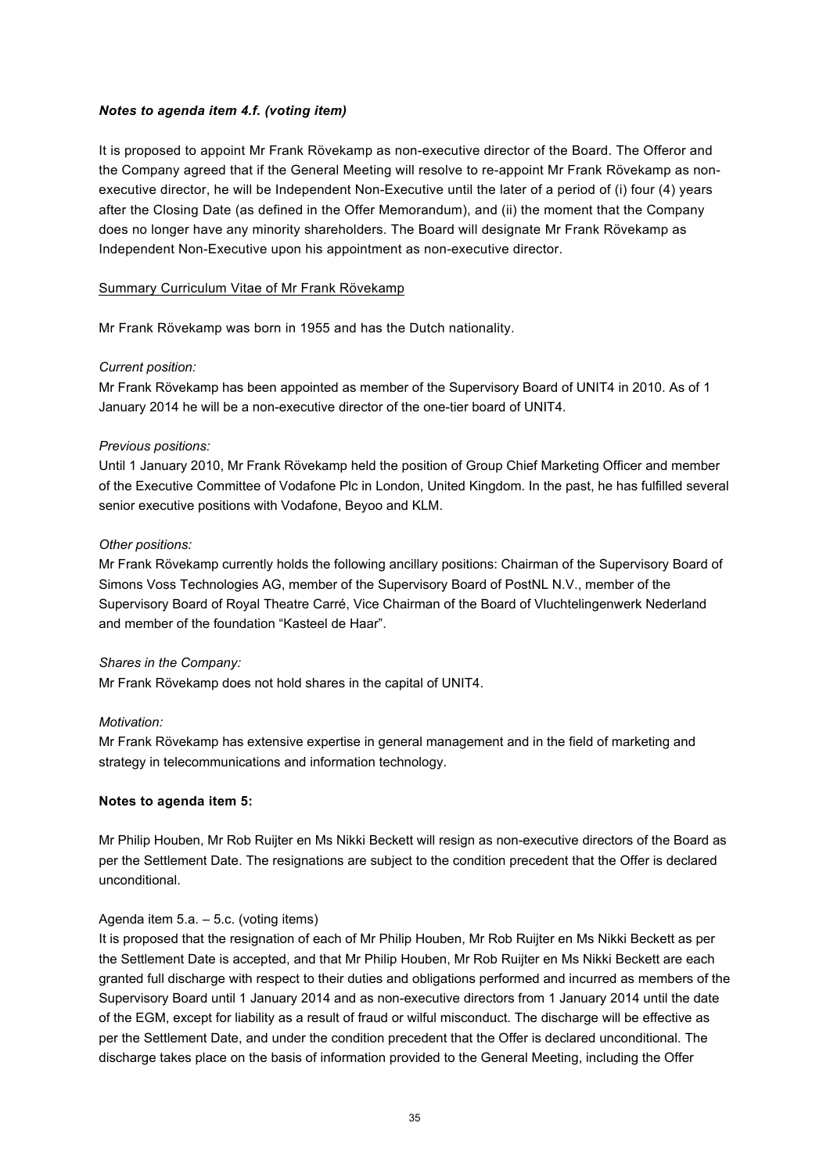# *Notes to agenda item 4.f. (voting item)*

It is proposed to appoint Mr Frank Rövekamp as non-executive director of the Board. The Offeror and the Company agreed that if the General Meeting will resolve to re-appoint Mr Frank Rövekamp as nonexecutive director, he will be Independent Non-Executive until the later of a period of (i) four (4) years after the Closing Date (as defined in the Offer Memorandum), and (ii) the moment that the Company does no longer have any minority shareholders. The Board will designate Mr Frank Rövekamp as Independent Non-Executive upon his appointment as non-executive director.

### Summary Curriculum Vitae of Mr Frank Rövekamp

Mr Frank Rövekamp was born in 1955 and has the Dutch nationality.

# *Current position:*

Mr Frank Rövekamp has been appointed as member of the Supervisory Board of UNIT4 in 2010. As of 1 January 2014 he will be a non-executive director of the one-tier board of UNIT4.

# *Previous positions:*

Until 1 January 2010, Mr Frank Rövekamp held the position of Group Chief Marketing Officer and member of the Executive Committee of Vodafone Plc in London, United Kingdom. In the past, he has fulfilled several senior executive positions with Vodafone, Beyoo and KLM.

# *Other positions:*

Mr Frank Rövekamp currently holds the following ancillary positions: Chairman of the Supervisory Board of Simons Voss Technologies AG, member of the Supervisory Board of PostNL N.V., member of the Supervisory Board of Royal Theatre Carré, Vice Chairman of the Board of Vluchtelingenwerk Nederland and member of the foundation "Kasteel de Haar".

# *Shares in the Company:*

Mr Frank Rövekamp does not hold shares in the capital of UNIT4.

### *Motivation:*

Mr Frank Rövekamp has extensive expertise in general management and in the field of marketing and strategy in telecommunications and information technology.

### **Notes to agenda item 5:**

Mr Philip Houben, Mr Rob Ruijter en Ms Nikki Beckett will resign as non-executive directors of the Board as per the Settlement Date. The resignations are subject to the condition precedent that the Offer is declared unconditional.

# Agenda item 5.a. – 5.c. (voting items)

It is proposed that the resignation of each of Mr Philip Houben, Mr Rob Ruijter en Ms Nikki Beckett as per the Settlement Date is accepted, and that Mr Philip Houben, Mr Rob Ruijter en Ms Nikki Beckett are each granted full discharge with respect to their duties and obligations performed and incurred as members of the Supervisory Board until 1 January 2014 and as non-executive directors from 1 January 2014 until the date of the EGM, except for liability as a result of fraud or wilful misconduct. The discharge will be effective as per the Settlement Date, and under the condition precedent that the Offer is declared unconditional. The discharge takes place on the basis of information provided to the General Meeting, including the Offer